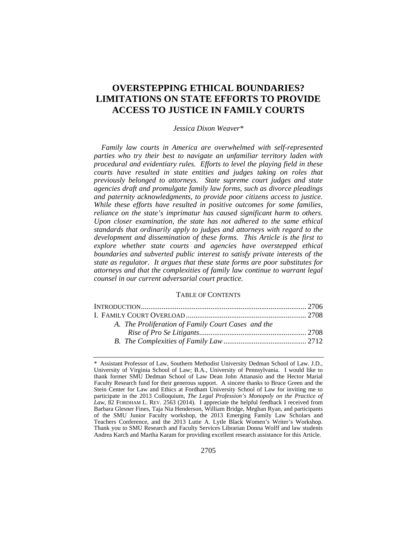## **OVERSTEPPING ETHICAL BOUNDARIES? LIMITATIONS ON STATE EFFORTS TO PROVIDE ACCESS TO JUSTICE IN FAMILY COURTS**

### *Jessica Dixon Weaver\**

*Family law courts in America are overwhelmed with self-represented parties who try their best to navigate an unfamiliar territory laden with procedural and evidentiary rules. Efforts to level the playing field in these courts have resulted in state entities and judges taking on roles that previously belonged to attorneys. State supreme court judges and state agencies draft and promulgate family law forms, such as divorce pleadings and paternity acknowledgments, to provide poor citizens access to justice. While these efforts have resulted in positive outcomes for some families, reliance on the state's imprimatur has caused significant harm to others. Upon closer examination, the state has not adhered to the same ethical standards that ordinarily apply to judges and attorneys with regard to the development and dissemination of these forms. This Article is the first to explore whether state courts and agencies have overstepped ethical boundaries and subverted public interest to satisfy private interests of the state as regulator. It argues that these state forms are poor substitutes for attorneys and that the complexities of family law continue to warrant legal counsel in our current adversarial court practice.* 

### TABLE OF CONTENTS

<sup>\*</sup> Assistant Professor of Law, Southern Methodist University Dedman School of Law. J.D., University of Virginia School of Law; B.A., University of Pennsylvania. I would like to thank former SMU Dedman School of Law Dean John Attanasio and the Hector Marial Faculty Research fund for their generous support. A sincere thanks to Bruce Green and the Stein Center for Law and Ethics at Fordham University School of Law for inviting me to participate in the 2013 Colloquium, *The Legal Profession's Monopoly on the Practice of Law*, 82 FORDHAM L. REV. 2563 (2014). I appreciate the helpful feedback I received from Barbara Glesner Fines, Taja Nia Henderson, William Bridge, Meghan Ryan, and participants of the SMU Junior Faculty workshop, the 2013 Emerging Family Law Scholars and Teachers Conference, and the 2013 Lutie A. Lytle Black Women's Writer's Workshop. Thank you to SMU Research and Faculty Services Librarian Donna Wolff and law students Andrea Karch and Martha Karam for providing excellent research assistance for this Article.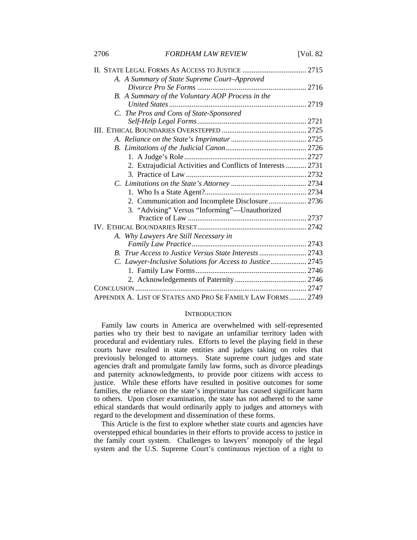| 2706 | <b>FORDHAM LAW REVIEW</b>                                    | [Vol. $82$ |
|------|--------------------------------------------------------------|------------|
|      |                                                              |            |
|      | A. A Summary of State Supreme Court-Approved                 |            |
|      |                                                              |            |
|      | B. A Summary of the Voluntary AOP Process in the             |            |
|      |                                                              |            |
|      | C. The Pros and Cons of State-Sponsored                      |            |
|      |                                                              |            |
|      |                                                              |            |
|      |                                                              |            |
|      |                                                              |            |
|      |                                                              |            |
|      | 2. Extrajudicial Activities and Conflicts of Interests  2731 |            |
|      |                                                              |            |
|      |                                                              |            |
|      |                                                              |            |
|      |                                                              |            |
|      | 3. "Advising" Versus "Informing"-Unauthorized                |            |
|      |                                                              |            |
|      |                                                              |            |
|      | A. Why Lawyers Are Still Necessary in                        |            |
|      |                                                              |            |
|      |                                                              |            |
|      | C. Lawyer-Inclusive Solutions for Access to Justice 2745     |            |
|      |                                                              |            |
|      |                                                              |            |
|      |                                                              |            |
|      | APPENDIX A. LIST OF STATES AND PRO SE FAMILY LAW FORMS 2749  |            |

### **INTRODUCTION**

Family law courts in America are overwhelmed with self-represented parties who try their best to navigate an unfamiliar territory laden with procedural and evidentiary rules. Efforts to level the playing field in these courts have resulted in state entities and judges taking on roles that previously belonged to attorneys. State supreme court judges and state agencies draft and promulgate family law forms, such as divorce pleadings and paternity acknowledgments, to provide poor citizens with access to justice. While these efforts have resulted in positive outcomes for some families, the reliance on the state's imprimatur has caused significant harm to others. Upon closer examination, the state has not adhered to the same ethical standards that would ordinarily apply to judges and attorneys with regard to the development and dissemination of these forms.

This Article is the first to explore whether state courts and agencies have overstepped ethical boundaries in their efforts to provide access to justice in the family court system. Challenges to lawyers' monopoly of the legal system and the U.S. Supreme Court's continuous rejection of a right to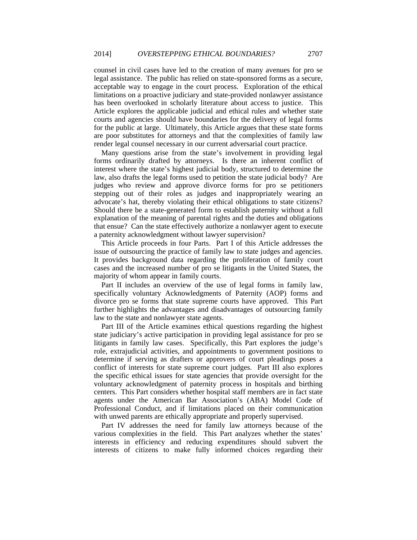counsel in civil cases have led to the creation of many avenues for pro se legal assistance. The public has relied on state-sponsored forms as a secure, acceptable way to engage in the court process. Exploration of the ethical limitations on a proactive judiciary and state-provided nonlawyer assistance has been overlooked in scholarly literature about access to justice. This Article explores the applicable judicial and ethical rules and whether state courts and agencies should have boundaries for the delivery of legal forms for the public at large. Ultimately, this Article argues that these state forms are poor substitutes for attorneys and that the complexities of family law render legal counsel necessary in our current adversarial court practice.

Many questions arise from the state's involvement in providing legal forms ordinarily drafted by attorneys. Is there an inherent conflict of interest where the state's highest judicial body, structured to determine the law, also drafts the legal forms used to petition the state judicial body? Are judges who review and approve divorce forms for pro se petitioners stepping out of their roles as judges and inappropriately wearing an advocate's hat, thereby violating their ethical obligations to state citizens? Should there be a state-generated form to establish paternity without a full explanation of the meaning of parental rights and the duties and obligations that ensue? Can the state effectively authorize a nonlawyer agent to execute a paternity acknowledgment without lawyer supervision?

This Article proceeds in four Parts. Part I of this Article addresses the issue of outsourcing the practice of family law to state judges and agencies. It provides background data regarding the proliferation of family court cases and the increased number of pro se litigants in the United States, the majority of whom appear in family courts.

Part II includes an overview of the use of legal forms in family law, specifically voluntary Acknowledgments of Paternity (AOP) forms and divorce pro se forms that state supreme courts have approved. This Part further highlights the advantages and disadvantages of outsourcing family law to the state and nonlawyer state agents.

Part III of the Article examines ethical questions regarding the highest state judiciary's active participation in providing legal assistance for pro se litigants in family law cases. Specifically, this Part explores the judge's role, extrajudicial activities, and appointments to government positions to determine if serving as drafters or approvers of court pleadings poses a conflict of interests for state supreme court judges. Part III also explores the specific ethical issues for state agencies that provide oversight for the voluntary acknowledgment of paternity process in hospitals and birthing centers. This Part considers whether hospital staff members are in fact state agents under the American Bar Association's (ABA) Model Code of Professional Conduct, and if limitations placed on their communication with unwed parents are ethically appropriate and properly supervised.

Part IV addresses the need for family law attorneys because of the various complexities in the field. This Part analyzes whether the states' interests in efficiency and reducing expenditures should subvert the interests of citizens to make fully informed choices regarding their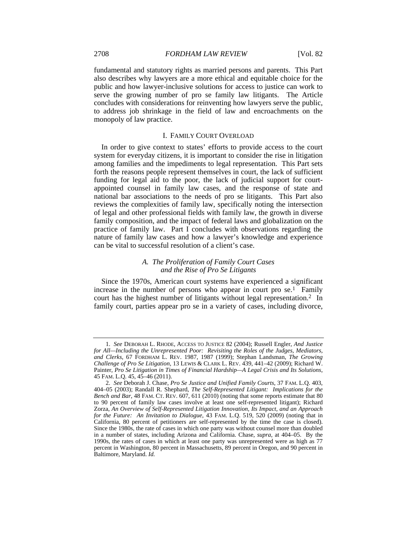fundamental and statutory rights as married persons and parents. This Part also describes why lawyers are a more ethical and equitable choice for the public and how lawyer-inclusive solutions for access to justice can work to serve the growing number of pro se family law litigants. The Article concludes with considerations for reinventing how lawyers serve the public, to address job shrinkage in the field of law and encroachments on the monopoly of law practice.

### I. FAMILY COURT OVERLOAD

In order to give context to states' efforts to provide access to the court system for everyday citizens, it is important to consider the rise in litigation among families and the impediments to legal representation. This Part sets forth the reasons people represent themselves in court, the lack of sufficient funding for legal aid to the poor, the lack of judicial support for courtappointed counsel in family law cases, and the response of state and national bar associations to the needs of pro se litigants. This Part also reviews the complexities of family law, specifically noting the intersection of legal and other professional fields with family law, the growth in diverse family composition, and the impact of federal laws and globalization on the practice of family law. Part I concludes with observations regarding the nature of family law cases and how a lawyer's knowledge and experience can be vital to successful resolution of a client's case.

## *A. The Proliferation of Family Court Cases and the Rise of Pro Se Litigants*

Since the 1970s, American court systems have experienced a significant increase in the number of persons who appear in court pro  $se^{1}$ . Family court has the highest number of litigants without legal representation.<sup>2</sup> In family court, parties appear pro se in a variety of cases, including divorce,

<sup>1.</sup> *See* DEBORAH L. RHODE, ACCESS TO JUSTICE 82 (2004); Russell Engler, *And Justice for All—Including the Unrepresented Poor: Revisiting the Roles of the Judges, Mediators, and Clerks*, 67 FORDHAM L. REV. 1987, 1987 (1999); Stephan Landsman, *The Growing Challenge of Pro Se Litigation*, 13 LEWIS & CLARK L. REV. 439, 441–42 (2009); Richard W. Painter, *Pro Se Litigation in Times of Financial Hardship—A Legal Crisis and Its Solutions*, 45 FAM. L.Q. 45, 45–46 (2011).

<sup>2.</sup> *See* Deborah J. Chase, *Pro Se Justice and Unified Family Courts*, 37 FAM. L.Q. 403, 404–05 (2003); Randall R. Shephard, *The Self-Represented Litigant: Implications for the Bench and Bar*, 48 FAM. CT. REV. 607, 611 (2010) (noting that some reports estimate that 80 to 90 percent of family law cases involve at least one self-represented litigant); Richard Zorza, *An Overview of Self-Represented Litigation Innovation, Its Impact, and an Approach for the Future: An Invitation to Dialogue*, 43 FAM. L.Q. 519, 520 (2009) (noting that in California, 80 percent of petitioners are self-represented by the time the case is closed). Since the 1980s, the rate of cases in which one party was without counsel more than doubled in a number of states, including Arizona and California. Chase, *supra*, at 404–05. By the 1990s, the rates of cases in which at least one party was unrepresented were as high as 77 percent in Washington, 80 percent in Massachusetts, 89 percent in Oregon, and 90 percent in Baltimore, Maryland. *Id.*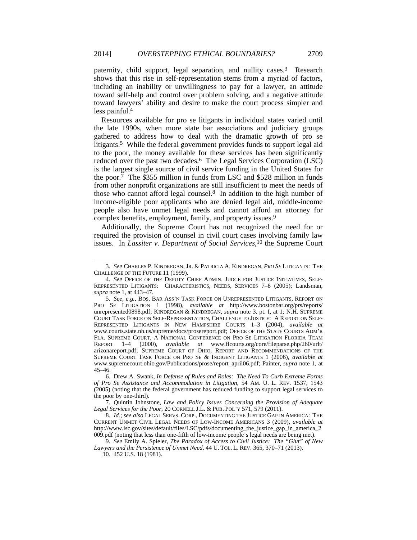paternity, child support, legal separation, and nullity cases.3 Research shows that this rise in self-representation stems from a myriad of factors, including an inability or unwillingness to pay for a lawyer, an attitude toward self-help and control over problem solving, and a negative attitude toward lawyers' ability and desire to make the court process simpler and less painful.4

Resources available for pro se litigants in individual states varied until the late 1990s, when more state bar associations and judiciary groups gathered to address how to deal with the dramatic growth of pro se litigants.<sup>5</sup> While the federal government provides funds to support legal aid to the poor, the money available for these services has been significantly reduced over the past two decades.6 The Legal Services Corporation (LSC) is the largest single source of civil service funding in the United States for the poor. $\bar{7}$  The \$355 million in funds from LSC and \$528 million in funds from other nonprofit organizations are still insufficient to meet the needs of those who cannot afford legal counsel. $8$  In addition to the high number of income-eligible poor applicants who are denied legal aid, middle-income people also have unmet legal needs and cannot afford an attorney for complex benefits, employment, family, and property issues.<sup>9</sup>

Additionally, the Supreme Court has not recognized the need for or required the provision of counsel in civil court cases involving family law issues. In *Lassiter v. Department of Social Services*, 10 the Supreme Court

 7. Quintin Johnstone, *Law and Policy Issues Concerning the Provision of Adequate Legal Services for the Poor*, 20 CORNELL J.L. & PUB. POL'Y 571, 579 (2011).

8. *Id.*; *see also* LEGAL SERVS. CORP., DOCUMENTING THE JUSTICE GAP IN AMERICA: THE CURRENT UNMET CIVIL LEGAL NEEDS OF LOW-INCOME AMERICANS 3 (2009), *available at* http://www.lsc.gov/sites/default/files/LSC/pdfs/documenting\_the\_justice\_gap\_in\_america\_2 009.pdf (noting that less than one-fifth of low-income people's legal needs are being met).

<sup>3.</sup> *See* CHARLES P. KINDREGAN, JR. & PATRICIA A. KINDREGAN, *PRO SE* LITIGANTS: THE CHALLENGE OF THE FUTURE 11 (1999).

<sup>4.</sup> *See* OFFICE OF THE DEPUTY CHIEF ADMIN. JUDGE FOR JUSTICE INITIATIVES, SELF-REPRESENTED LITIGANTS: CHARACTERISTICS, NEEDS, SERVICES 7–8 (2005); Landsman, *supra* note 1, at 443–47.

<sup>5.</sup> *See, e.g.*, BOS. BAR ASS'N TASK FORCE ON UNREPRESENTED LITIGANTS, REPORT ON PRO SE LITIGATION 1 (1998), *available at* http://www.bostonbar.org/prs/reports/ unrepresented0898.pdf; KINDREGAN & KINDREGAN, *supra* note 3, pt. I, at 1; N.H. SUPREME COURT TASK FORCE ON SELF-REPRESENTATION, CHALLENGE TO JUSTICE: A REPORT ON SELF-REPRESENTED LITIGANTS IN NEW HAMPSHIRE COURTS 1–3 (2004), *available at* www.courts.state.nh.us/supreme/docs/prosereport.pdf; OFFICE OF THE STATE COURTS ADM'R FLA. SUPREME COURT, A NATIONAL CONFERENCE ON PRO SE LITIGATION FLORIDA TEAM<br>REPORT 1–4 (2000). available at www.flcourts.org/core/fileparse.php/260/urlt/ REPORT 1–4 (2000), *available at* www.flcourts.org/core/fileparse.php/260/urlt/ arizonareport.pdf; SUPREME COURT OF OHIO, REPORT AND RECOMMENDATIONS OF THE SUPREME COURT TASK FORCE ON PRO SE & INDIGENT LITIGANTS 1 (2006), *available at*  www.supremecourt.ohio.gov/Publications/prose/report\_april06.pdf; Painter, *supra* note 1, at 45–46.

 <sup>6.</sup> Drew A. Swank, *In Defense of Rules and Roles: The Need To Curb Extreme Forms of Pro Se Assistance and Accommodation in Litigation*, 54 AM. U. L. REV. 1537, 1543 (2005) (noting that the federal government has reduced funding to support legal services to the poor by one-third).

<sup>9.</sup> *See* Emily A. Spieler, *The Paradox of Access to Civil Justice: The "Glut" of New Lawyers and the Persistence of Unmet Need*, 44 U. TOL. L. REV. 365, 370–71 (2013).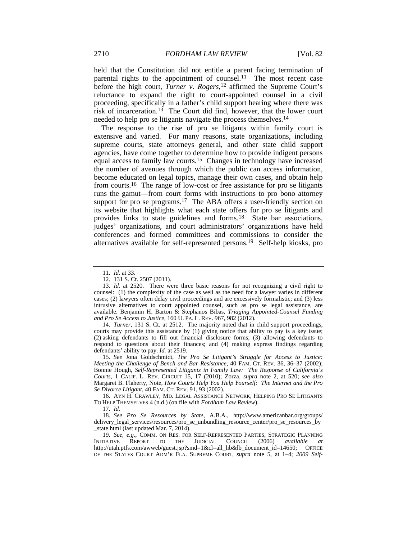held that the Constitution did not entitle a parent facing termination of parental rights to the appointment of counsel.<sup>11</sup> The most recent case before the high court, *Turner v. Rogers*, 12 affirmed the Supreme Court's reluctance to expand the right to court-appointed counsel in a civil proceeding, specifically in a father's child support hearing where there was risk of incarceration.13 The Court did find, however, that the lower court needed to help pro se litigants navigate the process themselves.14

The response to the rise of pro se litigants within family court is extensive and varied. For many reasons, state organizations, including supreme courts, state attorneys general, and other state child support agencies, have come together to determine how to provide indigent persons equal access to family law courts.15 Changes in technology have increased the number of avenues through which the public can access information, become educated on legal topics, manage their own cases, and obtain help from courts.16 The range of low-cost or free assistance for pro se litigants runs the gamut—from court forms with instructions to pro bono attorney support for pro se programs.<sup>17</sup> The ABA offers a user-friendly section on its website that highlights what each state offers for pro se litigants and provides links to state guidelines and forms.18 State bar associations, judges' organizations, and court administrators' organizations have held conferences and formed committees and commissions to consider the alternatives available for self-represented persons.19 Self-help kiosks, pro

14. *Turner*, 131 S. Ct. at 2512. The majority noted that in child support proceedings, courts may provide this assistance by (1) giving notice that ability to pay is a key issue; (2) asking defendants to fill out financial disclosure forms; (3) allowing defendants to respond to questions about their finances; and (4) making express findings regarding defendants' ability to pay. *Id.* at 2519.

15. *See* Jona Goldschmidt, *The Pro Se Litigant's Struggle for Access to Justice: Meeting the Challenge of Bench and Bar Resistance*, 40 FAM. CT. REV. 36, 36–37 (2002); Bonnie Hough, *Self-Represented Litigants in Family Law: The Response of California's Courts*, 1 CALIF. L. REV. CIRCUIT 15, 17 (2010); Zorza, *supra* note 2, at 520; *see also*  Margaret B. Flaherty, Note, *How Courts Help You Help Yourself: The Internet and the Pro Se Divorce Litigant*, 40 FAM. CT. REV. 91, 93 (2002).

 16. AYN H. CRAWLEY, MD. LEGAL ASSISTANCE NETWORK, HELPING PRO SE LITIGANTS TO HELP THEMSELVES 4 (n.d.) (on file with *Fordham Law Review*).

18. *See Pro Se Resources by State*, A.B.A., http://www.americanbar.org/groups/ delivery\_legal\_services/resources/pro\_se\_unbundling\_resource\_center/pro\_se\_resources\_by \_state.html (last updated Mar. 7, 2014).

19. *See, e.g.*, COMM. ON RES. FOR SELF-REPRESENTED PARTIES, STRATEGIC PLANNING INITIATIVE REPORT TO THE JUDICIAL COUNCIL (2006) *available at*  http://utah.ptfs.com/awweb/guest.jsp?smd=1&cl=all\_lib&lb\_document\_id=14650; OFFICE OF THE STATES COURT ADM'R FLA. SUPREME COURT, *supra* note 5, at 1–4; *2009 Self-*

<sup>11.</sup> *Id.* at 33.

 <sup>12. 131</sup> S. Ct. 2507 (2011).

<sup>13.</sup> *Id.* at 2520. There were three basic reasons for not recognizing a civil right to counsel: (1) the complexity of the case as well as the need for a lawyer varies in different cases; (2) lawyers often delay civil proceedings and are excessively formalistic; and (3) less intrusive alternatives to court appointed counsel, such as pro se legal assistance, are available. Benjamin H. Barton & Stephanos Bibas, *Triaging Appointed-Counsel Funding and Pro Se Access to Justice,* 160 U. PA. L. REV. 967, 982 (2012).

<sup>17.</sup> *Id.*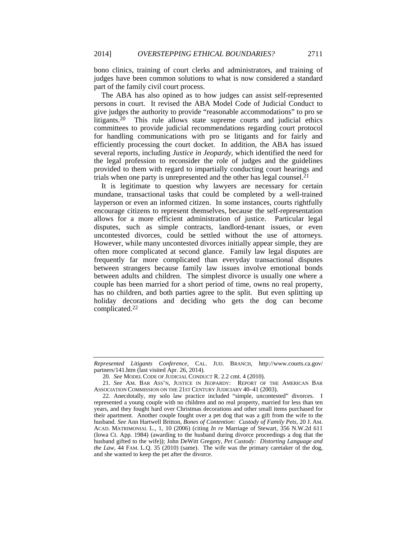bono clinics, training of court clerks and administrators, and training of judges have been common solutions to what is now considered a standard part of the family civil court process.

The ABA has also opined as to how judges can assist self-represented persons in court. It revised the ABA Model Code of Judicial Conduct to give judges the authority to provide "reasonable accommodations" to pro se litigants.<sup>20</sup> This rule allows state supreme courts and judicial ethics committees to provide judicial recommendations regarding court protocol for handling communications with pro se litigants and for fairly and efficiently processing the court docket. In addition, the ABA has issued several reports, including *Justice in Jeopardy*, which identified the need for the legal profession to reconsider the role of judges and the guidelines provided to them with regard to impartially conducting court hearings and trials when one party is unrepresented and the other has legal counsel.<sup>21</sup>

It is legitimate to question why lawyers are necessary for certain mundane, transactional tasks that could be completed by a well-trained layperson or even an informed citizen. In some instances, courts rightfully encourage citizens to represent themselves, because the self-representation allows for a more efficient administration of justice. Particular legal disputes, such as simple contracts, landlord-tenant issues, or even uncontested divorces, could be settled without the use of attorneys. However, while many uncontested divorces initially appear simple, they are often more complicated at second glance. Family law legal disputes are frequently far more complicated than everyday transactional disputes between strangers because family law issues involve emotional bonds between adults and children. The simplest divorce is usually one where a couple has been married for a short period of time, owns no real property, has no children, and both parties agree to the split. But even splitting up holiday decorations and deciding who gets the dog can become complicated.22

*Represented Litigants Conference*, CAL. JUD. BRANCH, http://www.courts.ca.gov/ partners/141.htm (last visited Apr. 26, 2014).

<sup>20.</sup> *See* MODEL CODE OF JUDICIAL CONDUCT R. 2.2 cmt. 4 (2010).

<sup>21.</sup> *See* AM. BAR ASS'N, JUSTICE IN JEOPARDY: REPORT OF THE AMERICAN BAR ASSOCIATION COMMISSION ON THE 21ST CENTURY JUDICIARY 40–41 (2003).

 <sup>22.</sup> Anecdotally, my solo law practice included "simple, uncontested" divorces. I represented a young couple with no children and no real property, married for less than ten years, and they fought hard over Christmas decorations and other small items purchased for their apartment. Another couple fought over a pet dog that was a gift from the wife to the husband. *See* Ann Hartwell Britton, *Bones of Contention: Custody of Family Pets,* 20 J. AM. ACAD. MATRIMONIAL L., 1, 10 (2006) (citing *In re* Marriage of Stewart, 356 N.W.2d 611 (Iowa Ct. App. 1984) (awarding to the husband during divorce proceedings a dog that the husband gifted to the wife)); John DeWitt Gregory, *Pet Custody: Distorting Language and the Law*, 44 FAM. L.Q. 35 (2010) (same). The wife was the primary caretaker of the dog, and she wanted to keep the pet after the divorce.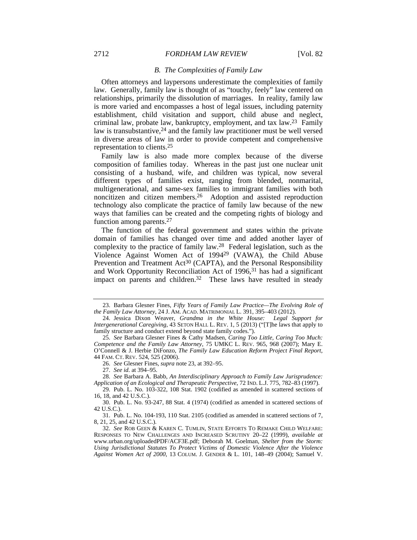#### 2712 *FORDHAM LAW REVIEW* [Vol. 82

#### *B. The Complexities of Family Law*

Often attorneys and laypersons underestimate the complexities of family law. Generally, family law is thought of as "touchy, feely" law centered on relationships, primarily the dissolution of marriages. In reality, family law is more varied and encompasses a host of legal issues, including paternity establishment, child visitation and support, child abuse and neglect, criminal law, probate law, bankruptcy, employment, and tax law.23 Family law is transubstantive,<sup>24</sup> and the family law practitioner must be well versed in diverse areas of law in order to provide competent and comprehensive representation to clients.25

Family law is also made more complex because of the diverse composition of families today. Whereas in the past just one nuclear unit consisting of a husband, wife, and children was typical, now several different types of families exist, ranging from blended, nonmarital, multigenerational, and same-sex families to immigrant families with both noncitizen and citizen members.26 Adoption and assisted reproduction technology also complicate the practice of family law because of the new ways that families can be created and the competing rights of biology and function among parents.27

The function of the federal government and states within the private domain of families has changed over time and added another layer of complexity to the practice of family law.28 Federal legislation, such as the Violence Against Women Act of 199429 (VAWA), the Child Abuse Prevention and Treatment Act<sup>30</sup> (CAPTA), and the Personal Responsibility and Work Opportunity Reconciliation Act of 1996,<sup>31</sup> has had a significant impact on parents and children.<sup>32</sup> These laws have resulted in steady

 <sup>23.</sup> Barbara Glesner Fines, *Fifty Years of Family Law Practice—The Evolving Role of the Family Law Attorney*, 24 J. AM. ACAD. MATRIMONIAL L. 391, 395–403 (2012).

 <sup>24.</sup> Jessica Dixon Weaver, *Grandma in the White House: Legal Support for Intergenerational Caregiving*, 43 SETON HALL L. REV. 1, 5 (2013) ("[T]he laws that apply to family structure and conduct extend beyond state family codes.").

<sup>25.</sup> *See* Barbara Glesner Fines & Cathy Madsen, *Caring Too Little, Caring Too Much: Competence and the Family Law Attorney*, 75 UMKC L. REV. 965, 968 (2007); Mary E. O'Connell & J. Herbie DiFonzo, *The Family Law Education Reform Project Final Report*, 44 FAM. CT. REV. 524, 525 (2006).

<sup>26.</sup> *See* Glesner Fines, *supra* note 23, at 392–95.

<sup>27.</sup> *See id*. at 394–95.

<sup>28.</sup> *See* Barbara A. Babb, *An Interdisciplinary Approach to Family Law Jurisprudence: Application of an Ecological and Therapeutic Perspective*, 72 IND. L.J. 775, 782–83 (1997).

 <sup>29.</sup> Pub. L. No. 103-322, 108 Stat. 1902 (codified as amended in scattered sections of 16, 18, and 42 U.S.C.).

 <sup>30.</sup> Pub. L. No. 93-247, 88 Stat. 4 (1974) (codified as amended in scattered sections of 42 U.S.C.).

 <sup>31.</sup> Pub. L. No. 104-193, 110 Stat. 2105 (codified as amended in scattered sections of 7, 8, 21, 25, and 42 U.S.C.).

<sup>32.</sup> *See* ROB GEEN & KAREN C. TUMLIN, STATE EFFORTS TO REMAKE CHILD WELFARE: RESPONSES TO NEW CHALLENGES AND INCREASED SCRUTINY 20–22 (1999), *available at* www.urban.org/uploadedPDF/ACF3E.pdf; Deborah M. Goelman, *Shelter from the Storm: Using Jurisdictional Statutes To Protect Victims of Domestic Violence After the Violence Against Women Act of 2000*, 13 COLUM. J. GENDER & L. 101, 148–49 (2004); Samuel V.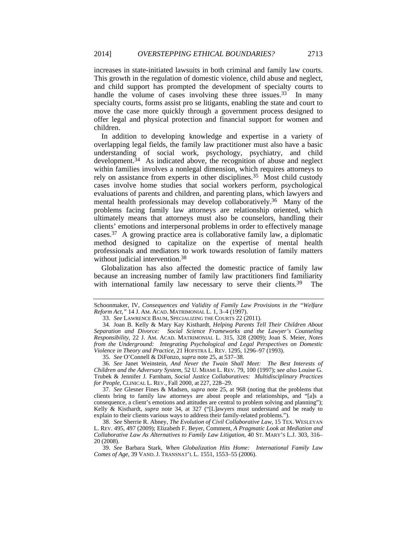increases in state-initiated lawsuits in both criminal and family law courts. This growth in the regulation of domestic violence, child abuse and neglect, and child support has prompted the development of specialty courts to handle the volume of cases involving these three issues.<sup>33</sup> In many specialty courts, forms assist pro se litigants, enabling the state and court to move the case more quickly through a government process designed to offer legal and physical protection and financial support for women and children.

In addition to developing knowledge and expertise in a variety of overlapping legal fields, the family law practitioner must also have a basic understanding of social work, psychology, psychiatry, and child development.34 As indicated above, the recognition of abuse and neglect within families involves a nonlegal dimension, which requires attorneys to rely on assistance from experts in other disciplines.<sup>35</sup> Most child custody cases involve home studies that social workers perform, psychological evaluations of parents and children, and parenting plans, which lawyers and mental health professionals may develop collaboratively.36 Many of the problems facing family law attorneys are relationship oriented, which ultimately means that attorneys must also be counselors, handling their clients' emotions and interpersonal problems in order to effectively manage cases.37 A growing practice area is collaborative family law, a diplomatic method designed to capitalize on the expertise of mental health professionals and mediators to work towards resolution of family matters without judicial intervention.<sup>38</sup>

Globalization has also affected the domestic practice of family law because an increasing number of family law practitioners find familiarity with international family law necessary to serve their clients.<sup>39</sup> The

35. *See* O'Connell & DiFonzo, *supra* note 25, at 537–38.

Schoonmaker, IV, *Consequences and Validity of Family Law Provisions in the "Welfare Reform Act*,*"* 14 J. AM. ACAD. MATRIMONIAL L. 1, 3–4 (1997).

<sup>33.</sup> *See* LAWRENCE BAUM, SPECIALIZING THE COURTS 22 (2011).

 <sup>34.</sup> Joan B. Kelly & Mary Kay Kisthardt, *Helping Parents Tell Their Children About Separation and Divorce: Social Science Frameworks and the Lawyer's Counseling Responsibility*, 22 J. AM. ACAD. MATRIMONIAL L. 315, 328 (2009); Joan S. Meier, *Notes from the Underground: Integrating Psychological and Legal Perspectives on Domestic Violence in Theory and Practice*, 21 HOFSTRA L. REV. 1295, 1296–97 (1993).

<sup>36.</sup> *See* Janet Weinstein, *And Never the Twain Shall Meet: The Best Interests of Children and the Adversary System*, 52 U. MIAMI L. REV. 79, 100 (1997); *see also* Louise G. Trubek & Jennifer J. Farnham, *Social Justice Collaboratives: Multidisciplinary Practices for People*, CLINICAL L. REV., Fall 2000, at 227, 228–29.

<sup>37.</sup> *See* Glesner Fines & Madsen, *supra* note 25, at 968 (noting that the problems that clients bring to family law attorneys are about people and relationships, and "[a]s a consequence, a client's emotions and attitudes are central to problem solving and planning"); Kelly & Kisthardt, *supra* note 34, at 327 ("[L]awyers must understand and be ready to explain to their clients various ways to address their family-related problems.").

<sup>38.</sup> *See* Sherrie R. Abney, *The Evolution of Civil Collaborative Law*, 15 TEX. WESLEYAN L. REV. 495, 497 (2009); Elizabeth F. Beyer, Comment, *A Pragmatic Look at Mediation and Collaborative Law As Alternatives to Family Law Litigation*, 40 ST. MARY'S L.J. 303, 316– 20 (2008).

<sup>39.</sup> *See* Barbara Stark, *When Globalization Hits Home: International Family Law Comes of Age*, 39 VAND. J. TRANSNAT'L L. 1551, 1553–55 (2006).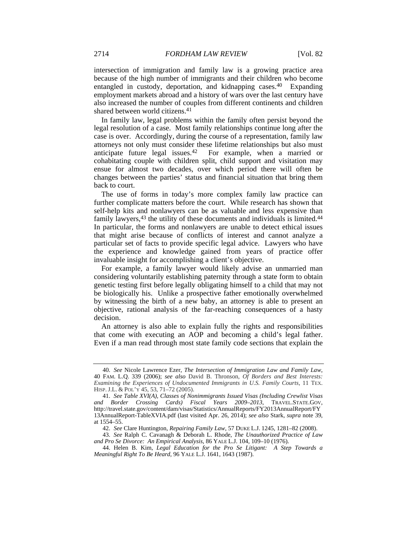intersection of immigration and family law is a growing practice area because of the high number of immigrants and their children who become entangled in custody, deportation, and kidnapping cases.40 Expanding employment markets abroad and a history of wars over the last century have also increased the number of couples from different continents and children shared between world citizens.41

In family law, legal problems within the family often persist beyond the legal resolution of a case. Most family relationships continue long after the case is over. Accordingly, during the course of a representation, family law attorneys not only must consider these lifetime relationships but also must anticipate future legal issues.<sup>42</sup> For example, when a married or For example, when a married or cohabitating couple with children split, child support and visitation may ensue for almost two decades, over which period there will often be changes between the parties' status and financial situation that bring them back to court.

The use of forms in today's more complex family law practice can further complicate matters before the court. While research has shown that self-help kits and nonlawyers can be as valuable and less expensive than family lawyers,<sup>43</sup> the utility of these documents and individuals is limited.<sup>44</sup> In particular, the forms and nonlawyers are unable to detect ethical issues that might arise because of conflicts of interest and cannot analyze a particular set of facts to provide specific legal advice. Lawyers who have the experience and knowledge gained from years of practice offer invaluable insight for accomplishing a client's objective.

For example, a family lawyer would likely advise an unmarried man considering voluntarily establishing paternity through a state form to obtain genetic testing first before legally obligating himself to a child that may not be biologically his. Unlike a prospective father emotionally overwhelmed by witnessing the birth of a new baby, an attorney is able to present an objective, rational analysis of the far-reaching consequences of a hasty decision.

An attorney is also able to explain fully the rights and responsibilities that come with executing an AOP and becoming a child's legal father. Even if a man read through most state family code sections that explain the

<sup>40.</sup> *See* Nicole Lawrence Ezer, *The Intersection of Immigration Law and Family Law*, 40 FAM. L.Q. 339 (2006); *see also* David B. Thronson, *Of Borders and Best Interests: Examining the Experiences of Undocumented Immigrants in U.S. Family Courts*, 11 TEX. HISP. J.L. & POL'Y 45, 53, 71–72 (2005).

<sup>41.</sup> *See Table XVI(A), Classes of Nonimmigrants Issued Visas (Including Crewlist Visas and Border Crossing Cards) Fiscal Years 2009–2013*, TRAVEL.STATE.GOV, http://travel.state.gov/content/dam/visas/Statistics/AnnualReports/FY2013AnnualReport/FY 13AnnualReport-TableXVIA.pdf (last visited Apr. 26, 2014); *see also* Stark, *supra* note 39, at 1554–55.

<sup>42.</sup> *See* Clare Huntington, *Repairing Family Law*, 57 DUKE L.J. 1245, 1281–82 (2008).

<sup>43.</sup> *See* Ralph C. Cavanagh & Deborah L. Rhode, *The Unauthorized Practice of Law and Pro Se Divorce: An Empirical Analysis*, 86 YALE L.J. 104, 109–10 (1976).

 <sup>44.</sup> Helen B. Kim, *Legal Education for the Pro Se Litigant: A Step Towards a Meaningful Right To Be Heard*, 96 YALE L.J. 1641, 1643 (1987).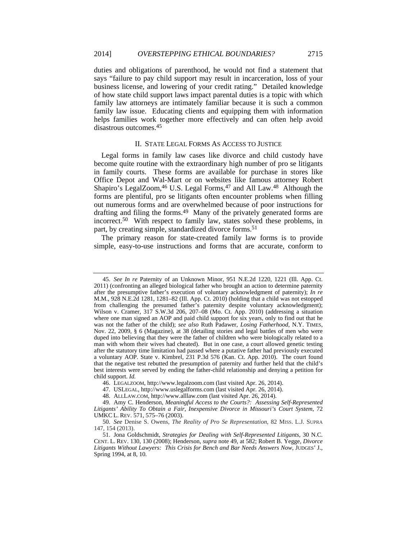duties and obligations of parenthood, he would not find a statement that says "failure to pay child support may result in incarceration, loss of your business license, and lowering of your credit rating." Detailed knowledge of how state child support laws impact parental duties is a topic with which family law attorneys are intimately familiar because it is such a common family law issue. Educating clients and equipping them with information helps families work together more effectively and can often help avoid disastrous outcomes.45

#### II. STATE LEGAL FORMS AS ACCESS TO JUSTICE

Legal forms in family law cases like divorce and child custody have become quite routine with the extraordinary high number of pro se litigants in family courts. These forms are available for purchase in stores like Office Depot and Wal-Mart or on websites like famous attorney Robert Shapiro's LegalZoom,<sup>46</sup> U.S. Legal Forms,<sup>47</sup> and All Law.<sup>48</sup> Although the forms are plentiful, pro se litigants often encounter problems when filling out numerous forms and are overwhelmed because of poor instructions for drafting and filing the forms.49 Many of the privately generated forms are incorrect.50 With respect to family law, states solved these problems, in part, by creating simple, standardized divorce forms.<sup>51</sup>

The primary reason for state-created family law forms is to provide simple, easy-to-use instructions and forms that are accurate, conform to

<sup>45.</sup> *See In re* Paternity of an Unknown Minor, 951 N.E.2d 1220, 1221 (Ill. App. Ct. 2011) (confronting an alleged biological father who brought an action to determine paternity after the presumptive father's execution of voluntary acknowledgment of paternity); *In re* M.M., 928 N.E.2d 1281, 1281–82 (Ill. App. Ct. 2010) (holding that a child was not estopped from challenging the presumed father's paternity despite voluntary acknowledgment); Wilson v. Cramer, 317 S.W.3d 206, 207–08 (Mo. Ct. App. 2010) (addressing a situation where one man signed an AOP and paid child support for six years, only to find out that he was not the father of the child); *see also* Ruth Padawer, *Losing Fatherhood*, N.Y. TIMES, Nov. 22, 2009, § 6 (Magazine), at 38 (detailing stories and legal battles of men who were duped into believing that they were the father of children who were biologically related to a man with whom their wives had cheated). But in one case, a court allowed genetic testing after the statutory time limitation had passed where a putative father had previously executed a voluntary AOP. State v. Kimbrel, 231 P.3d 576 (Kan. Ct. App. 2010). The court found that the negative test rebutted the presumption of paternity and further held that the child's best interests were served by ending the father-child relationship and denying a petition for child support. *Id.*

 <sup>46.</sup> LEGALZOOM, http://www.legalzoom.com (last visited Apr. 26, 2014).

 <sup>47.</sup> USLEGAL, http://www.uslegalforms.com (last visited Apr. 26, 2014).

 <sup>48.</sup> ALLLAW.COM, http://www.alllaw.com (last visited Apr. 26, 2014).

 <sup>49.</sup> Amy C. Henderson, *Meaningful Access to the Courts?: Assessing Self-Represented Litigants' Ability To Obtain a Fair, Inexpensive Divorce in Missouri's Court System*, 72 UMKC L. REV. 571, 575–76 (2003).

<sup>50.</sup> *See* Denise S. Owens, *The Reality of Pro Se Representation*, 82 MISS. L.J. SUPRA 147, 154 (2013).

 <sup>51.</sup> Jona Goldschmidt, *Strategies for Dealing with Self-Represented Litigants*, 30 N.C. CENT. L. REV. 130, 130 (2008); Henderson, *supra* note 49, at 582; Robert B. Yegge, *Divorce Litigants Without Lawyers: This Crisis for Bench and Bar Needs Answers Now*, JUDGES' J., Spring 1994, at 8, 10.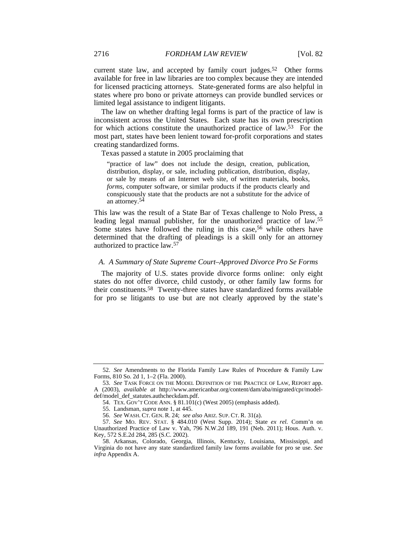current state law, and accepted by family court judges.<sup>52</sup> Other forms available for free in law libraries are too complex because they are intended for licensed practicing attorneys. State-generated forms are also helpful in states where pro bono or private attorneys can provide bundled services or limited legal assistance to indigent litigants.

The law on whether drafting legal forms is part of the practice of law is inconsistent across the United States. Each state has its own prescription for which actions constitute the unauthorized practice of law.53 For the most part, states have been lenient toward for-profit corporations and states creating standardized forms.

Texas passed a statute in 2005 proclaiming that

"practice of law" does not include the design, creation, publication, distribution, display, or sale, including publication, distribution, display, or sale by means of an Internet web site, of written materials, books, *forms*, computer software, or similar products if the products clearly and conspicuously state that the products are not a substitute for the advice of an attorney.54

This law was the result of a State Bar of Texas challenge to Nolo Press, a leading legal manual publisher, for the unauthorized practice of law.55 Some states have followed the ruling in this case,<sup>56</sup> while others have determined that the drafting of pleadings is a skill only for an attorney authorized to practice law.57

### *A. A Summary of State Supreme Court–Approved Divorce Pro Se Forms*

The majority of U.S. states provide divorce forms online: only eight states do not offer divorce, child custody, or other family law forms for their constituents.58 Twenty-three states have standardized forms available for pro se litigants to use but are not clearly approved by the state's

<sup>52.</sup> *See* Amendments to the Florida Family Law Rules of Procedure & Family Law Forms, 810 So. 2d 1, 1–2 (Fla. 2000).

<sup>53.</sup> *See* TASK FORCE ON THE MODEL DEFINITION OF THE PRACTICE OF LAW, REPORT app. A (2003), *available at* http://www.americanbar.org/content/dam/aba/migrated/cpr/modeldef/model\_def\_statutes.authcheckdam.pdf.

 <sup>54.</sup> TEX. GOV'T CODE ANN. § 81.101(c) (West 2005) (emphasis added).

 <sup>55.</sup> Landsman, *supra* note 1, at 445.

<sup>56.</sup> *See* WASH. CT. GEN. R. 24; *see also* ARIZ. SUP. CT. R. 31(a).

<sup>57.</sup> *See* MO. REV. STAT. § 484.010 (West Supp. 2014); State *ex rel.* Comm'n on Unauthorized Practice of Law v. Yah, 796 N.W.2d 189, 191 (Neb. 2011); Hous. Auth. v. Key, 572 S.E.2d 284, 285 (S.C. 2002).

 <sup>58.</sup> Arkansas, Colorado, Georgia, Illinois, Kentucky, Louisiana, Mississippi, and Virginia do not have any state standardized family law forms available for pro se use. *See infra* Appendix A.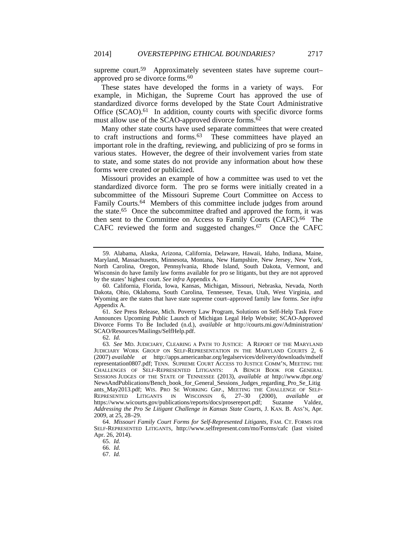supreme court.<sup>59</sup> Approximately seventeen states have supreme court– approved pro se divorce forms.<sup>60</sup>

These states have developed the forms in a variety of ways. For example, in Michigan, the Supreme Court has approved the use of standardized divorce forms developed by the State Court Administrative Office  $(SCAO)$ .<sup>61</sup> In addition, county courts with specific divorce forms must allow use of the SCAO-approved divorce forms. $\delta^2$ 

Many other state courts have used separate committees that were created to craft instructions and forms.<sup>63</sup> These committees have played an important role in the drafting, reviewing, and publicizing of pro se forms in various states. However, the degree of their involvement varies from state to state, and some states do not provide any information about how these forms were created or publicized.

Missouri provides an example of how a committee was used to vet the standardized divorce form. The pro se forms were initially created in a subcommittee of the Missouri Supreme Court Committee on Access to Family Courts.<sup>64</sup> Members of this committee include judges from around the state.65 Once the subcommittee drafted and approved the form, it was then sent to the Committee on Access to Family Courts (CAFC).<sup>66</sup> The CAFC reviewed the form and suggested changes.<sup>67</sup> Once the CAFC

61. *See* Press Release, Mich. Poverty Law Program, Solutions on Self-Help Task Force Announces Upcoming Public Launch of Michigan Legal Help Website; SCAO-Approved Divorce Forms To Be Included (n.d.), *available at* http://courts.mi.gov/Administration/ SCAO/Resources/Mailings/SelfHelp.pdf.

62. *Id.*

 <sup>59.</sup> Alabama, Alaska, Arizona, California, Delaware, Hawaii, Idaho, Indiana, Maine, Maryland, Massachusetts, Minnesota, Montana, New Hampshire, New Jersey, New York, North Carolina, Oregon, Pennsylvania, Rhode Island, South Dakota, Vermont, and Wisconsin do have family law forms available for pro se litigants, but they are not approved by the states' highest court. *See infra* Appendix A.

 <sup>60.</sup> California, Florida, Iowa, Kansas, Michigan, Missouri, Nebraska, Nevada, North Dakota, Ohio, Oklahoma, South Carolina, Tennessee, Texas, Utah, West Virginia, and Wyoming are the states that have state supreme court–approved family law forms. *See infra*  Appendix A.

<sup>63.</sup> *See* MD. JUDICIARY, CLEARING A PATH TO JUSTICE: A REPORT OF THE MARYLAND JUDICIARY WORK GROUP ON SELF-REPRESENTATION IN THE MARYLAND COURTS 2, 6 (2007) *available at* http://apps.americanbar.org/legalservices/delivery/downloads/mdself representation0807.pdf; TENN. SUPREME COURT ACCESS TO JUSTICE COMM'N, MEETING THE CHALLENGES OF SELF-REPRESENTED LITIGANTS: A BENCH BOOK FOR GENERAL SESSIONS JUDGES OF THE STATE OF TENNESSEE (2013), *available at* http://www.tbpr.org/ NewsAndPublications/Bench\_book\_for\_General\_Sessions\_Judges\_regarding\_Pro\_Se\_Litig ants\_May2013.pdf; WIS. PRO SE WORKING GRP., MEETING THE CHALLENGE OF SELF-REPRESENTED LITIGANTS IN WISCONSIN 6, 27–30 (2000), *available at* https://www.wicourts.gov/publications/reports/docs/prosereport.pdf; Suzanne Valdez, *Addressing the Pro Se Litigant Challenge in Kansas State Courts*, J. KAN. B. ASS'N, Apr. 2009, at 25, 28–29.

<sup>64.</sup> *Missouri Family Court Forms for Self-Represented Litigants*, FAM. CT. FORMS FOR SELF-REPRESENTED LITIGANTS, http://www.selfrepresent.com/mo/Forms/cafc (last visited Apr. 26, 2014).

<sup>65.</sup> *Id.*

<sup>66.</sup> *Id.*

<sup>67.</sup> *Id.*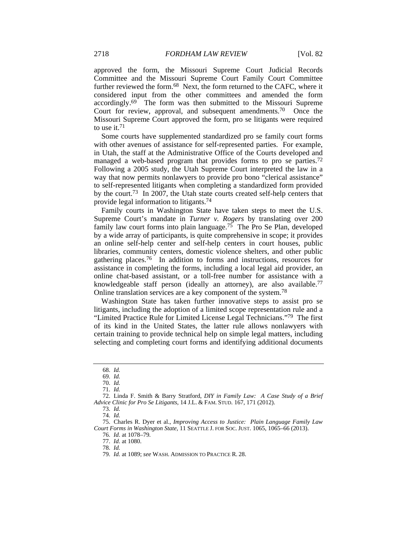approved the form, the Missouri Supreme Court Judicial Records Committee and the Missouri Supreme Court Family Court Committee further reviewed the form.68 Next, the form returned to the CAFC, where it considered input from the other committees and amended the form accordingly.69 The form was then submitted to the Missouri Supreme Court for review, approval, and subsequent amendments.70 Once the Missouri Supreme Court approved the form, pro se litigants were required to use it.71

Some courts have supplemented standardized pro se family court forms with other avenues of assistance for self-represented parties. For example, in Utah, the staff at the Administrative Office of the Courts developed and managed a web-based program that provides forms to pro se parties.<sup>72</sup> Following a 2005 study, the Utah Supreme Court interpreted the law in a way that now permits nonlawyers to provide pro bono "clerical assistance" to self-represented litigants when completing a standardized form provided by the court.73 In 2007, the Utah state courts created self-help centers that provide legal information to litigants.74

Family courts in Washington State have taken steps to meet the U.S. Supreme Court's mandate in *Turner v. Rogers* by translating over 200 family law court forms into plain language.75 The Pro Se Plan, developed by a wide array of participants, is quite comprehensive in scope; it provides an online self-help center and self-help centers in court houses, public libraries, community centers, domestic violence shelters, and other public gathering places.76 In addition to forms and instructions, resources for assistance in completing the forms, including a local legal aid provider, an online chat-based assistant, or a toll-free number for assistance with a knowledgeable staff person (ideally an attorney), are also available.<sup>77</sup> Online translation services are a key component of the system.78

Washington State has taken further innovative steps to assist pro se litigants, including the adoption of a limited scope representation rule and a "Limited Practice Rule for Limited License Legal Technicians."79 The first of its kind in the United States, the latter rule allows nonlawyers with certain training to provide technical help on simple legal matters, including selecting and completing court forms and identifying additional documents

<sup>68.</sup> *Id.*

<sup>69.</sup> *Id.*

<sup>70.</sup> *Id.*

<sup>71.</sup> *Id.*

 <sup>72.</sup> Linda F. Smith & Barry Stratford, *DIY in Family Law: A Case Study of a Brief Advice Clinic for Pro Se Litigants*, 14 J.L. & FAM. STUD. 167, 171 (2012).

<sup>73.</sup> *Id.*

<sup>74.</sup> *Id.*

 <sup>75.</sup> Charles R. Dyer et al., *Improving Access to Justice: Plain Language Family Law Court Forms in Washington State*, 11 SEATTLE J. FOR SOC. JUST. 1065, 1065–66 (2013).

<sup>76.</sup> *Id*. at 1078–79. 77. *Id*. at 1080.

<sup>78.</sup> *Id.*

<sup>79.</sup> *Id.* at 1089; *see* WASH. ADMISSION TO PRACTICE R. 28.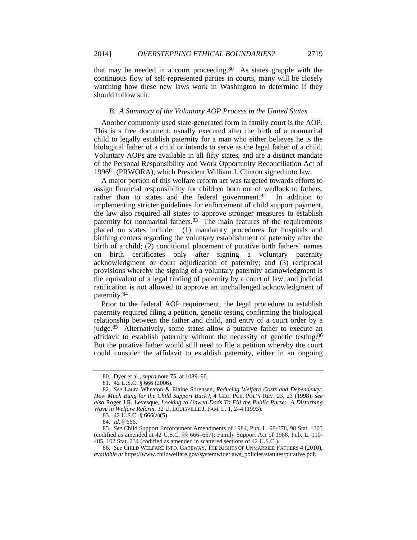that may be needed in a court proceeding.80 As states grapple with the continuous flow of self-represented parties in courts, many will be closely watching how these new laws work in Washington to determine if they should follow suit.

#### *B. A Summary of the Voluntary AOP Process in the United States*

Another commonly used state-generated form in family court is the AOP. This is a free document, usually executed after the birth of a nonmarital child to legally establish paternity for a man who either believes he is the biological father of a child or intends to serve as the legal father of a child. Voluntary AOPs are available in all fifty states, and are a distinct mandate of the Personal Responsibility and Work Opportunity Reconciliation Act of 199681 (PRWORA), which President William J. Clinton signed into law.

A major portion of this welfare reform act was targeted towards efforts to assign financial responsibility for children born out of wedlock to fathers, rather than to states and the federal government.<sup>82</sup> In addition to implementing stricter guidelines for enforcement of child support payment, the law also required all states to approve stronger measures to establish paternity for nonmarital fathers.<sup>83</sup> The main features of the requirements placed on states include: (1) mandatory procedures for hospitals and birthing centers regarding the voluntary establishment of paternity after the birth of a child; (2) conditional placement of putative birth fathers' names on birth certificates only after signing a voluntary paternity acknowledgment or court adjudication of paternity; and (3) reciprocal provisions whereby the signing of a voluntary paternity acknowledgment is the equivalent of a legal finding of paternity by a court of law, and judicial ratification is not allowed to approve an unchallenged acknowledgment of paternity.84

Prior to the federal AOP requirement, the legal procedure to establish paternity required filing a petition, genetic testing confirming the biological relationship between the father and child, and entry of a court order by a judge.85 Alternatively, some states allow a putative father to execute an affidavit to establish paternity without the necessity of genetic testing.86 But the putative father would still need to file a petition whereby the court could consider the affidavit to establish paternity, either in an ongoing

<sup>80.</sup> Dyer et al., *supra* note 75, at 1089–90.

 <sup>81. 42</sup> U.S.C. § 666 (2006).

<sup>82.</sup> *See* Laura Wheaton & Elaine Sorensen, *Reducing Welfare Costs and Dependency: How Much Bang for the Child Support Buck?*, 4 GEO. PUB. POL'Y REV. 23, 23 (1998); *see also* Roger J.R. Levesque, *Looking to Unwed Dads To Fill the Public Purse: A Disturbing Wave in Welfare Reform*, 32 U. LOUISVILLE J. FAM. L. 1, 2–4 (1993).

 <sup>83. 42</sup> U.S.C. § 666(a)(5).

 <sup>84.</sup> *Id.* § 666.

<sup>85.</sup> *See* Child Support Enforcement Amendments of 1984, Pub. L. 98-378, 98 Stat. 1305 (codified as amended at 42 U.S.C. §§ 666–667); Family Support Act of 1988, Pub. L. 110- 485, 102 Stat. 234 (codified as amended in scattered sections of 42 U.S.C.).

<sup>86.</sup> *See* CHILD WELFARE INFO. GATEWAY, THE RIGHTS OF UNMARRIED FATHERS 4 (2010), *available at* https://www.childwelfare.gov/systemwide/laws\_policies/statutes/putative.pdf.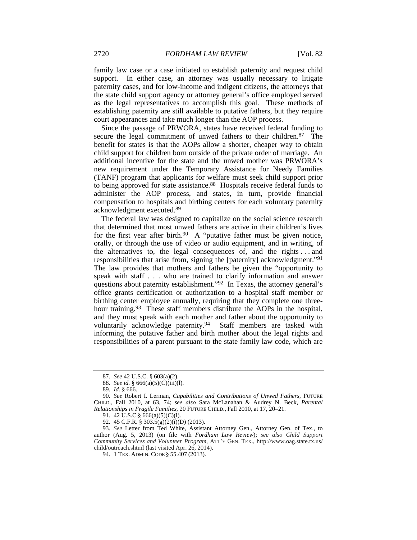family law case or a case initiated to establish paternity and request child support. In either case, an attorney was usually necessary to litigate paternity cases, and for low-income and indigent citizens, the attorneys that the state child support agency or attorney general's office employed served as the legal representatives to accomplish this goal. These methods of establishing paternity are still available to putative fathers, but they require court appearances and take much longer than the AOP process.

Since the passage of PRWORA, states have received federal funding to secure the legal commitment of unwed fathers to their children.<sup>87</sup> The benefit for states is that the AOPs allow a shorter, cheaper way to obtain child support for children born outside of the private order of marriage. An additional incentive for the state and the unwed mother was PRWORA's new requirement under the Temporary Assistance for Needy Families (TANF) program that applicants for welfare must seek child support prior to being approved for state assistance.88 Hospitals receive federal funds to administer the AOP process, and states, in turn, provide financial compensation to hospitals and birthing centers for each voluntary paternity acknowledgment executed.89

The federal law was designed to capitalize on the social science research that determined that most unwed fathers are active in their children's lives for the first year after birth.<sup>90</sup> A "putative father must be given notice, orally, or through the use of video or audio equipment, and in writing, of the alternatives to, the legal consequences of, and the rights . . . and responsibilities that arise from, signing the [paternity] acknowledgment."91 The law provides that mothers and fathers be given the "opportunity to speak with staff . . . who are trained to clarify information and answer questions about paternity establishment."92 In Texas, the attorney general's office grants certification or authorization to a hospital staff member or birthing center employee annually, requiring that they complete one threehour training.<sup>93</sup> These staff members distribute the AOPs in the hospital, and they must speak with each mother and father about the opportunity to voluntarily acknowledge paternity.94 Staff members are tasked with informing the putative father and birth mother about the legal rights and responsibilities of a parent pursuant to the state family law code, which are

<sup>87.</sup> *See* 42 U.S.C. § 603(a)(2).

<sup>88.</sup> *See id.* § 666(a)(5)(C)(iii)(l).

 <sup>89.</sup> *Id.* § 666.

<sup>90.</sup> *See* Robert I. Lerman, *Capabilities and Contributions of Unwed Fathers*, FUTURE CHILD., Fall 2010, at 63, 74; *see also* Sara McLanahan & Audrey N. Beck, *Parental Relationships in Fragile Families*, 20 FUTURE CHILD., Fall 2010, at 17, 20–21.

 <sup>91. 42</sup> U.S.C.§ 666(a)(5)(C)(i).

 <sup>92. 45</sup> C.F.R. § 303.5(g)(2)(i)(D) (2013).

<sup>93.</sup> *See* Letter from Ted White, Assistant Attorney Gen., Attorney Gen. of Tex., to author (Aug. 5, 2013) (on file with *Fordham Law Review*); *see also Child Support Community Services and Volunteer Program*, ATT'Y GEN. TEX., http://www.oag.state.tx.us/ child/outreach.shtml (last visited Apr. 26, 2014).

 <sup>94. 1</sup> TEX. ADMIN. CODE § 55.407 (2013).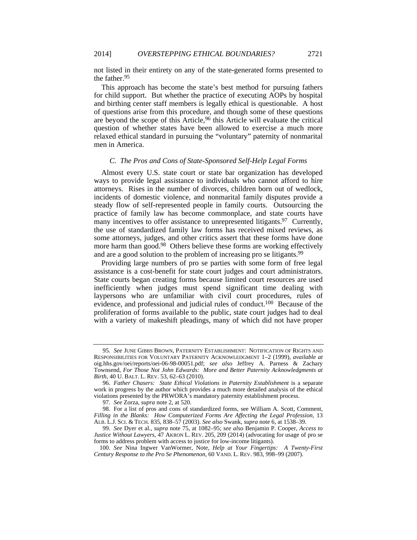not listed in their entirety on any of the state-generated forms presented to the father.95

This approach has become the state's best method for pursuing fathers for child support. But whether the practice of executing AOPs by hospital and birthing center staff members is legally ethical is questionable. A host of questions arise from this procedure, and though some of these questions are beyond the scope of this Article,96 this Article will evaluate the critical question of whether states have been allowed to exercise a much more relaxed ethical standard in pursuing the "voluntary" paternity of nonmarital men in America.

#### *C. The Pros and Cons of State-Sponsored Self-Help Legal Forms*

Almost every U.S. state court or state bar organization has developed ways to provide legal assistance to individuals who cannot afford to hire attorneys. Rises in the number of divorces, children born out of wedlock, incidents of domestic violence, and nonmarital family disputes provide a steady flow of self-represented people in family courts. Outsourcing the practice of family law has become commonplace, and state courts have many incentives to offer assistance to unrepresented litigants.<sup>97</sup> Currently, the use of standardized family law forms has received mixed reviews, as some attorneys, judges, and other critics assert that these forms have done more harm than good.<sup>98</sup> Others believe these forms are working effectively and are a good solution to the problem of increasing pro se litigants.<sup>99</sup>

Providing large numbers of pro se parties with some form of free legal assistance is a cost-benefit for state court judges and court administrators. State courts began creating forms because limited court resources are used inefficiently when judges must spend significant time dealing with laypersons who are unfamiliar with civil court procedures, rules of evidence, and professional and judicial rules of conduct.100 Because of the proliferation of forms available to the public, state court judges had to deal with a variety of makeshift pleadings, many of which did not have proper

<sup>95.</sup> *See* JUNE GIBBS BROWN, PATERNITY ESTABLISHMENT: NOTIFICATION OF RIGHTS AND RESPONSIBILITIES FOR VOLUNTARY PATERNITY ACKNOWLEDGMENT 1–2 (1999), *available at* oig.hhs.gov/oei/reports/oei-06-98-00051.pdf; *see also* Jeffrey A. Parness & Zachary Townsend, *For Those Not John Edwards: More and Better Paternity Acknowledgments at Birth*, 40 U. BALT. L. REV. 53, 62–63 (2010).

<sup>96.</sup> *Father Chasers: State Ethical Violations in Paternity Establishment* is a separate work in progress by the author which provides a much more detailed analysis of the ethical violations presented by the PRWORA's mandatory paternity establishment process.

<sup>97.</sup> *See* Zorza, *supra* note 2, at 520.

 <sup>98.</sup> For a list of pros and cons of standardized forms, see William A. Scott, Comment, *Filling in the Blanks: How Computerized Forms Are Affecting the Legal Profession*, 13 ALB. L.J. SCI. & TECH. 835, 838–57 (2003). *See also* Swank, *supra* note 6, at 1538–39.

<sup>99.</sup> *See* Dyer et al., *supra* note 75, at 1082–95; *see also* Benjamin P. Cooper, *Access to Justice Without Lawyers*, 47 AKRON L. REV. 205, 209 (2014) (advocating for usage of pro se forms to address problem with access to justice for low-income litigants).

<sup>100.</sup> *See* Nina Ingwer VanWormer, Note, *Help at Your Fingertips: A Twenty-First Century Response to the Pro Se Phenomenon*, 60 VAND. L. REV. 983, 998–99 (2007).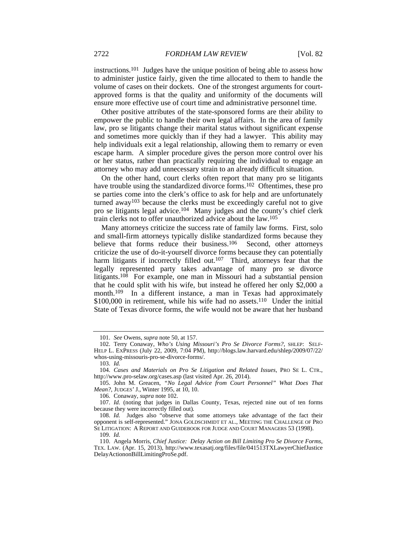instructions.101 Judges have the unique position of being able to assess how to administer justice fairly, given the time allocated to them to handle the volume of cases on their dockets. One of the strongest arguments for courtapproved forms is that the quality and uniformity of the documents will ensure more effective use of court time and administrative personnel time.

Other positive attributes of the state-sponsored forms are their ability to empower the public to handle their own legal affairs. In the area of family law, pro se litigants change their marital status without significant expense and sometimes more quickly than if they had a lawyer. This ability may help individuals exit a legal relationship, allowing them to remarry or even escape harm. A simpler procedure gives the person more control over his or her status, rather than practically requiring the individual to engage an attorney who may add unnecessary strain to an already difficult situation.

On the other hand, court clerks often report that many pro se litigants have trouble using the standardized divorce forms.102 Oftentimes, these pro se parties come into the clerk's office to ask for help and are unfortunately turned away103 because the clerks must be exceedingly careful not to give pro se litigants legal advice.104 Many judges and the county's chief clerk train clerks not to offer unauthorized advice about the law.105

Many attorneys criticize the success rate of family law forms. First, solo and small-firm attorneys typically dislike standardized forms because they believe that forms reduce their business.<sup>106</sup> Second, other attorneys criticize the use of do-it-yourself divorce forms because they can potentially harm litigants if incorrectly filled out.<sup>107</sup> Third, attorneys fear that the legally represented party takes advantage of many pro se divorce litigants.108 For example, one man in Missouri had a substantial pension that he could split with his wife, but instead he offered her only \$2,000 a month.<sup>109</sup> In a different instance, a man in Texas had approximately \$100,000 in retirement, while his wife had no assets.<sup>110</sup> Under the initial State of Texas divorce forms, the wife would not be aware that her husband

106. Conaway, *supra* note 102.

<sup>101.</sup> *See* Owens, *supra* note 50, at 157.

 <sup>102.</sup> Terry Conaway, *Who's Using Missouri's Pro Se Divorce Forms?*, SHLEP: SELF-HELP L. EXPRESS (July 22, 2009, 7:04 PM), http://blogs.law.harvard.edu/shlep/2009/07/22/ whos-using-missouris-pro-se-divorce-forms/.

<sup>103.</sup> *Id.*

<sup>104.</sup> *Cases and Materials on Pro Se Litigation and Related Issues*, PRO SE L. CTR., http://www.pro-selaw.org/cases.asp (last visited Apr. 26, 2014).

 <sup>105.</sup> John M. Greacen, *"No Legal Advice from Court Personnel" What Does That Mean?*, JUDGES' J., Winter 1995, at 10, 10.

<sup>107.</sup> *Id.* (noting that judges in Dallas County, Texas, rejected nine out of ten forms because they were incorrectly filled out)*.*

<sup>108.</sup> *Id.* Judges also "observe that some attorneys take advantage of the fact their opponent is self-represented." JONA GOLDSCHMIDT ET AL., MEETING THE CHALLENGE OF PRO SE LITIGATION: A REPORT AND GUIDEBOOK FOR JUDGE AND COURT MANAGERS 53 (1998).

<sup>109.</sup> *Id.*

 <sup>110.</sup> Angela Morris, *Chief Justice: Delay Action on Bill Limiting Pro Se Divorce Forms*, TEX. LAW. (Apr. 15, 2013), http://www.texasatj.org/files/file/041513TXLawyerChiefJustice DelayActiononBillLimitingProSe.pdf.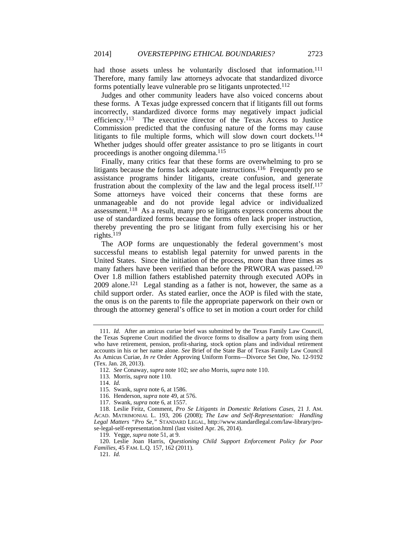had those assets unless he voluntarily disclosed that information.<sup>111</sup> Therefore, many family law attorneys advocate that standardized divorce forms potentially leave vulnerable pro se litigants unprotected.112

Judges and other community leaders have also voiced concerns about these forms. A Texas judge expressed concern that if litigants fill out forms incorrectly, standardized divorce forms may negatively impact judicial efficiency.113 The executive director of the Texas Access to Justice Commission predicted that the confusing nature of the forms may cause litigants to file multiple forms, which will slow down court dockets.<sup>114</sup> Whether judges should offer greater assistance to pro se litigants in court proceedings is another ongoing dilemma.115

Finally, many critics fear that these forms are overwhelming to pro se litigants because the forms lack adequate instructions.<sup>116</sup> Frequently pro se assistance programs hinder litigants, create confusion, and generate frustration about the complexity of the law and the legal process itself.117 Some attorneys have voiced their concerns that these forms are unmanageable and do not provide legal advice or individualized assessment.118 As a result, many pro se litigants express concerns about the use of standardized forms because the forms often lack proper instruction, thereby preventing the pro se litigant from fully exercising his or her rights.119

The AOP forms are unquestionably the federal government's most successful means to establish legal paternity for unwed parents in the United States. Since the initiation of the process, more than three times as many fathers have been verified than before the PRWORA was passed.<sup>120</sup> Over 1.8 million fathers established paternity through executed AOPs in 2009 alone.121 Legal standing as a father is not, however, the same as a child support order. As stated earlier, once the AOP is filed with the state, the onus is on the parents to file the appropriate paperwork on their own or through the attorney general's office to set in motion a court order for child

119. Yegge, *supra* note 51, at 9.

 120. Leslie Joan Harris, *Questioning Child Support Enforcement Policy for Poor Families*, 45 FAM. L.Q. 157, 162 (2011).

<sup>111.</sup> *Id.* After an amicus curiae brief was submitted by the Texas Family Law Council, the Texas Supreme Court modified the divorce forms to disallow a party from using them who have retirement, pension, profit-sharing, stock option plans and individual retirement accounts in his or her name alone. *See* Brief of the State Bar of Texas Family Law Council As Amicus Curiae, *In re* Order Approving Uniform Forms—Divorce Set One, No. 12-9192 (Tex. Jan. 28, 2013).

<sup>112.</sup> *See* Conaway, *supra* note 102; *see also* Morris, *supra* note 110.

 <sup>113.</sup> Morris, *supra* note 110.

<sup>114.</sup> *Id.*

 <sup>115.</sup> Swank, *supra* note 6, at 1586.

 <sup>116.</sup> Henderson, *supra* note 49, at 576.

 <sup>117.</sup> Swank, *supra* note 6, at 1557.

 <sup>118.</sup> Leslie Feitz, Comment, *Pro Se Litigants in Domestic Relations Cases*, 21 J. AM. ACAD. MATRIMONIAL L. 193, 206 (2008); *The Law and Self-Representation: Handling Legal Matters "Pro Se*,*"* STANDARD LEGAL, http://www.standardlegal.com/law-library/prose-legal-self-representation.html (last visited Apr. 26, 2014).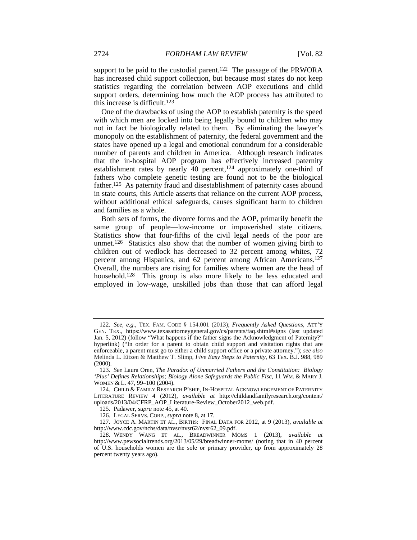support to be paid to the custodial parent.<sup>122</sup> The passage of the PRWORA has increased child support collection, but because most states do not keep statistics regarding the correlation between AOP executions and child support orders, determining how much the AOP process has attributed to this increase is difficult.<sup>123</sup>

One of the drawbacks of using the AOP to establish paternity is the speed with which men are locked into being legally bound to children who may not in fact be biologically related to them. By eliminating the lawyer's monopoly on the establishment of paternity, the federal government and the states have opened up a legal and emotional conundrum for a considerable number of parents and children in America. Although research indicates that the in-hospital AOP program has effectively increased paternity establishment rates by nearly  $\overline{40}$  percent,<sup>124</sup> approximately one-third of fathers who complete genetic testing are found not to be the biological father.125 As paternity fraud and disestablishment of paternity cases abound in state courts, this Article asserts that reliance on the current AOP process, without additional ethical safeguards, causes significant harm to children and families as a whole.

Both sets of forms, the divorce forms and the AOP, primarily benefit the same group of people—low-income or impoverished state citizens. Statistics show that four-fifths of the civil legal needs of the poor are unmet.<sup>126</sup> Statistics also show that the number of women giving birth to children out of wedlock has decreased to 32 percent among whites, 72 percent among Hispanics, and 62 percent among African Americans.127 Overall, the numbers are rising for families where women are the head of household.<sup>128</sup> This group is also more likely to be less educated and employed in low-wage, unskilled jobs than those that can afford legal

<sup>122.</sup> *See, e.g.*, TEX. FAM. CODE § 154.001 (2013); *Frequently Asked Questions*, ATT'Y GEN. TEX., https://www.texasattorneygeneral.gov/cs/parents/faq.shtml#signs (last updated Jan. 5, 2012) (follow "What happens if the father signs the Acknowledgment of Paternity?" hyperlink) ("In order for a parent to obtain child support and visitation rights that are enforceable, a parent must go to either a child support office or a private attorney."); *see also*  Melinda L. Eitzen & Matthew T. Slimp, *Five Easy Steps to Paternity*, 63 TEX. B.J. 988, 989 (2000).

<sup>123.</sup> *See* Laura Oren, *The Paradox of Unmarried Fathers and the Constitution: Biology 'Plus' Defines Relationships; Biology Alone Safeguards the Public Fisc*, 11 WM. & MARY J. WOMEN & L. 47, 99–100 (2004).

 <sup>124.</sup> CHILD & FAMILY RESEARCH P'SHIP, IN-HOSPITAL ACKNOWLEDGEMENT OF PATERNITY LITERATURE REVIEW 4 (2012), *available at* http://childandfamilyresearch.org/content/ uploads/2013/04/CFRP\_AOP\_Literature-Review\_October2012\_web.pdf.

 <sup>125.</sup> Padawer, *supra* note 45, at 40.

 <sup>126.</sup> LEGAL SERVS. CORP., *supra* note 8, at 17.

 <sup>127.</sup> JOYCE A. MARTIN ET AL., BIRTHS: FINAL DATA FOR 2012, at 9 (2013), *available at* http://www.cdc.gov/nchs/data/nvsr/nvsr62/nvsr62\_09.pdf.

 <sup>128.</sup> WENDY WANG ET AL., BREADWINNER MOMS 1 (2013), *available at* http://www.pewsocialtrends.org/2013/05/29/breadwinner-moms/ (noting that in 40 percent of U.S. households women are the sole or primary provider, up from approximately 28 percent twenty years ago).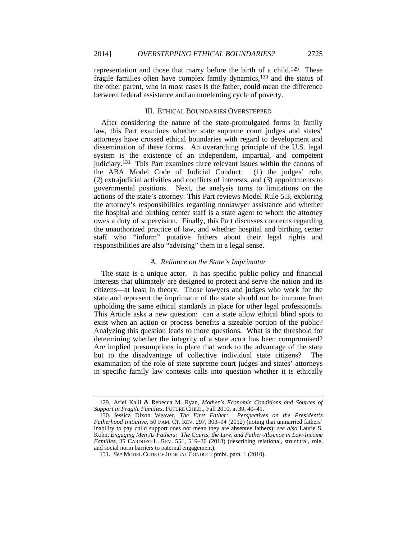representation and those that marry before the birth of a child.129 These fragile families often have complex family dynamics,130 and the status of the other parent, who in most cases is the father, could mean the difference between federal assistance and an unrelenting cycle of poverty.

#### III. ETHICAL BOUNDARIES OVERSTEPPED

After considering the nature of the state-promulgated forms in family law, this Part examines whether state supreme court judges and states' attorneys have crossed ethical boundaries with regard to development and dissemination of these forms. An overarching principle of the U.S. legal system is the existence of an independent, impartial, and competent judiciary.131 This Part examines three relevant issues within the canons of the ABA Model Code of Judicial Conduct: (1) the judges' role, (2) extrajudicial activities and conflicts of interests, and (3) appointments to governmental positions. Next, the analysis turns to limitations on the actions of the state's attorney. This Part reviews Model Rule 5.3, exploring the attorney's responsibilities regarding nonlawyer assistance and whether the hospital and birthing center staff is a state agent to whom the attorney owes a duty of supervision. Finally, this Part discusses concerns regarding the unauthorized practice of law, and whether hospital and birthing center staff who "inform" putative fathers about their legal rights and responsibilities are also "advising" them in a legal sense.

### *A. Reliance on the State's Imprimatur*

The state is a unique actor. It has specific public policy and financial interests that ultimately are designed to protect and serve the nation and its citizens—at least in theory. Those lawyers and judges who work for the state and represent the imprimatur of the state should not be immune from upholding the same ethical standards in place for other legal professionals. This Article asks a new question: can a state allow ethical blind spots to exist when an action or process benefits a sizeable portion of the public? Analyzing this question leads to more questions. What is the threshold for determining whether the integrity of a state actor has been compromised? Are implied presumptions in place that work to the advantage of the state but to the disadvantage of collective individual state citizens? examination of the role of state supreme court judges and states' attorneys in specific family law contexts calls into question whether it is ethically

 <sup>129.</sup> Ariel Kalil & Rebecca M. Ryan, *Mother's Economic Conditions and Sources of Support in Fragile Families*, FUTURE CHILD., Fall 2010, at 39, 40–41.

 <sup>130.</sup> Jessica Dixon Weaver, *The First Father: Perspectives on the President's Fatherhood Initiative*, 50 FAM. CT. REV. 297, 303–04 (2012) (noting that unmarried fathers' inability to pay child support does not mean they are absentee fathers); *see also* Laurie S. Kohn, *Engaging Men As Fathers: The Courts, the Law, and Father-Absence in Low-Income Families*, 35 CARDOZO L. REV. 551, 519–30 (2013) (describing relational, structural, role, and social norm barriers to paternal engagement).

<sup>131.</sup> *See* MODEL CODE OF JUDICIAL CONDUCT pmbl. para. 1 (2010).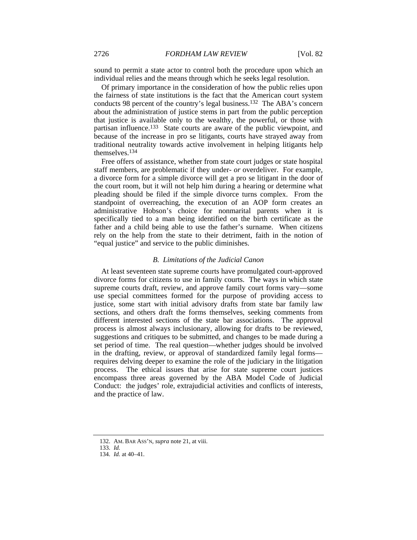sound to permit a state actor to control both the procedure upon which an individual relies and the means through which he seeks legal resolution.

Of primary importance in the consideration of how the public relies upon the fairness of state institutions is the fact that the American court system conducts 98 percent of the country's legal business.132 The ABA's concern about the administration of justice stems in part from the public perception that justice is available only to the wealthy, the powerful, or those with partisan influence.133 State courts are aware of the public viewpoint, and because of the increase in pro se litigants, courts have strayed away from traditional neutrality towards active involvement in helping litigants help themselves.134

Free offers of assistance, whether from state court judges or state hospital staff members, are problematic if they under- *or* overdeliver. For example, a divorce form for a simple divorce will get a pro se litigant in the door of the court room, but it will not help him during a hearing or determine what pleading should be filed if the simple divorce turns complex. From the standpoint of overreaching, the execution of an AOP form creates an administrative Hobson's choice for nonmarital parents when it is specifically tied to a man being identified on the birth certificate as the father and a child being able to use the father's surname. When citizens rely on the help from the state to their detriment, faith in the notion of "equal justice" and service to the public diminishes.

### *B. Limitations of the Judicial Canon*

At least seventeen state supreme courts have promulgated court-approved divorce forms for citizens to use in family courts. The ways in which state supreme courts draft, review, and approve family court forms vary—some use special committees formed for the purpose of providing access to justice, some start with initial advisory drafts from state bar family law sections, and others draft the forms themselves, seeking comments from different interested sections of the state bar associations. The approval process is almost always inclusionary, allowing for drafts to be reviewed, suggestions and critiques to be submitted, and changes to be made during a set period of time. The real question—whether judges should be involved in the drafting, review, or approval of standardized family legal forms requires delving deeper to examine the role of the judiciary in the litigation process. The ethical issues that arise for state supreme court justices encompass three areas governed by the ABA Model Code of Judicial Conduct: the judges' role, extrajudicial activities and conflicts of interests, and the practice of law.

 <sup>132.</sup> AM. BAR ASS'N, *supra* note 21, at viii.

<sup>133.</sup> *Id.* 134. *Id.* at 40–41.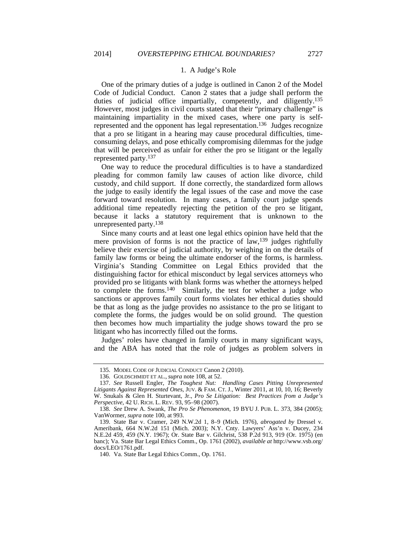#### 1. A Judge's Role

One of the primary duties of a judge is outlined in Canon 2 of the Model Code of Judicial Conduct. Canon 2 states that a judge shall perform the duties of judicial office impartially, competently, and diligently.<sup>135</sup> However, most judges in civil courts stated that their "primary challenge" is maintaining impartiality in the mixed cases, where one party is selfrepresented and the opponent has legal representation.136 Judges recognize that a pro se litigant in a hearing may cause procedural difficulties, timeconsuming delays, and pose ethically compromising dilemmas for the judge that will be perceived as unfair for either the pro se litigant or the legally represented party.137

One way to reduce the procedural difficulties is to have a standardized pleading for common family law causes of action like divorce, child custody, and child support. If done correctly, the standardized form allows the judge to easily identify the legal issues of the case and move the case forward toward resolution. In many cases, a family court judge spends additional time repeatedly rejecting the petition of the pro se litigant, because it lacks a statutory requirement that is unknown to the unrepresented party.138

Since many courts and at least one legal ethics opinion have held that the mere provision of forms is not the practice of  $law$ ,<sup>139</sup> judges rightfully believe their exercise of judicial authority, by weighing in on the details of family law forms or being the ultimate endorser of the forms, is harmless. Virginia's Standing Committee on Legal Ethics provided that the distinguishing factor for ethical misconduct by legal services attorneys who provided pro se litigants with blank forms was whether the attorneys helped to complete the forms.140 Similarly, the test for whether a judge who sanctions or approves family court forms violates her ethical duties should be that as long as the judge provides no assistance to the pro se litigant to complete the forms, the judges would be on solid ground. The question then becomes how much impartiality the judge shows toward the pro se litigant who has incorrectly filled out the forms.

Judges' roles have changed in family courts in many significant ways, and the ABA has noted that the role of judges as problem solvers in

 <sup>135.</sup> MODEL CODE OF JUDICIAL CONDUCT Canon 2 (2010).

 <sup>136.</sup> GOLDSCHMIDT ET AL., *supra* note 108, at 52.

<sup>137.</sup> *See* Russell Engler, *The Toughest Nut: Handling Cases Pitting Unrepresented*  Litigants Against Represented Ones, JUV. & FAM. CT. J., Winter 2011, at 10, 10, 16; Beverly W. Snukals & Glen H. Sturtevant, Jr., *Pro Se Litigation: Best Practices from a Judge's Perspective*, 42 U. RICH. L. REV. 93, 95–98 (2007).

<sup>138.</sup> *See* Drew A. Swank, *The Pro Se Phenomenon*, 19 BYU J. PUB. L. 373, 384 (2005); VanWormer, *supra* note 100, at 993.

 <sup>139.</sup> State Bar v. Cramer, 249 N.W.2d 1, 8–9 (Mich. 1976), *abrogated by* Dressel v. Ameribank, 664 N.W.2d 151 (Mich. 2003); N.Y. Cnty. Lawyers' Ass'n v. Ducey, 234 N.E.2d 459, 459 (N.Y. 1967); Or. State Bar v. Gilchrist, 538 P.2d 913, 919 (Or. 1975) (en banc); Va. State Bar Legal Ethics Comm., Op. 1761 (2002), *available at* http://www.vsb.org/ docs/LEO/1761.pdf.

<sup>140.</sup> Va. State Bar Legal Ethics Comm., Op. 1761.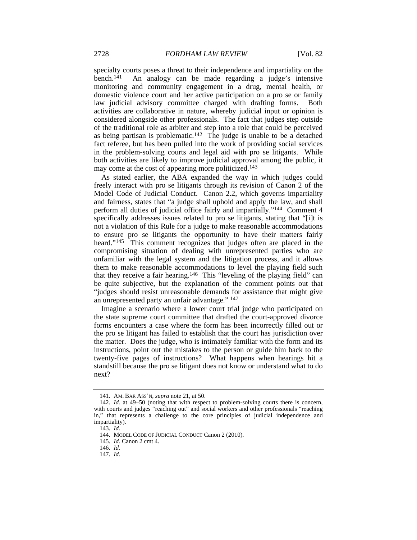specialty courts poses a threat to their independence and impartiality on the bench.<sup>141</sup> An analogy can be made regarding a judge's intensive An analogy can be made regarding a judge's intensive monitoring and community engagement in a drug, mental health, or domestic violence court and her active participation on a pro se or family law judicial advisory committee charged with drafting forms. Both activities are collaborative in nature, whereby judicial input or opinion is considered alongside other professionals. The fact that judges step outside of the traditional role as arbiter and step into a role that could be perceived as being partisan is problematic.<sup>142</sup> The judge is unable to be a detached fact referee, but has been pulled into the work of providing social services in the problem-solving courts and legal aid with pro se litigants. While both activities are likely to improve judicial approval among the public, it may come at the cost of appearing more politicized.143

As stated earlier, the ABA expanded the way in which judges could freely interact with pro se litigants through its revision of Canon 2 of the Model Code of Judicial Conduct. Canon 2.2, which governs impartiality and fairness, states that "a judge shall uphold and apply the law, and shall perform all duties of judicial office fairly and impartially."144 Comment 4 specifically addresses issues related to pro se litigants, stating that "[i]t is not a violation of this Rule for a judge to make reasonable accommodations to ensure pro se litigants the opportunity to have their matters fairly heard."<sup>145</sup> This comment recognizes that judges often are placed in the compromising situation of dealing with unrepresented parties who are unfamiliar with the legal system and the litigation process, and it allows them to make reasonable accommodations to level the playing field such that they receive a fair hearing.146 This "leveling of the playing field" can be quite subjective, but the explanation of the comment points out that "judges should resist unreasonable demands for assistance that might give an unrepresented party an unfair advantage." 147

Imagine a scenario where a lower court trial judge who participated on the state supreme court committee that drafted the court-approved divorce forms encounters a case where the form has been incorrectly filled out or the pro se litigant has failed to establish that the court has jurisdiction over the matter. Does the judge, who is intimately familiar with the form and its instructions, point out the mistakes to the person or guide him back to the twenty-five pages of instructions? What happens when hearings hit a standstill because the pro se litigant does not know or understand what to do next?

 <sup>141.</sup> AM. BAR ASS'N, *supra* note 21, at 50.

<sup>142.</sup> *Id.* at 49–50 (noting that with respect to problem-solving courts there is concern, with courts and judges "reaching out" and social workers and other professionals "reaching in," that represents a challenge to the core principles of judicial independence and impartiality).

<sup>143.</sup> *Id.*

 <sup>144.</sup> MODEL CODE OF JUDICIAL CONDUCT Canon 2 (2010).

<sup>145.</sup> *Id.* Canon 2 cmt 4.

<sup>146.</sup> *Id.*

<sup>147.</sup> *Id.*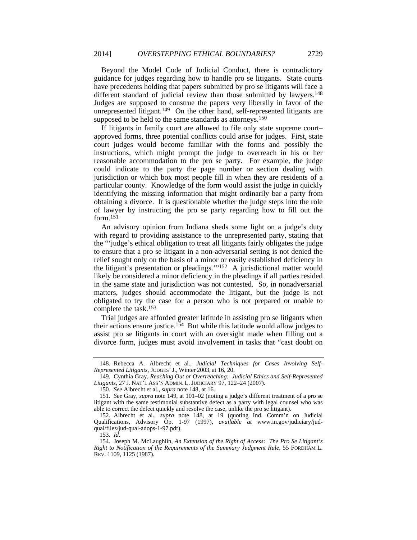Beyond the Model Code of Judicial Conduct, there is contradictory guidance for judges regarding how to handle pro se litigants. State courts have precedents holding that papers submitted by pro se litigants will face a different standard of judicial review than those submitted by lawyers.<sup>148</sup> Judges are supposed to construe the papers very liberally in favor of the unrepresented litigant.<sup>149</sup> On the other hand, self-represented litigants are supposed to be held to the same standards as attorneys.<sup>150</sup>

If litigants in family court are allowed to file only state supreme court– approved forms, three potential conflicts could arise for judges. First, state court judges would become familiar with the forms and possibly the instructions, which might prompt the judge to overreach in his or her reasonable accommodation to the pro se party. For example, the judge could indicate to the party the page number or section dealing with jurisdiction or which box most people fill in when they are residents of a particular county. Knowledge of the form would assist the judge in quickly identifying the missing information that might ordinarily bar a party from obtaining a divorce. It is questionable whether the judge steps into the role of lawyer by instructing the pro se party regarding how to fill out the form.151

An advisory opinion from Indiana sheds some light on a judge's duty with regard to providing assistance to the unrepresented party, stating that the "'judge's ethical obligation to treat all litigants fairly obligates the judge to ensure that a pro se litigant in a non-adversarial setting is not denied the relief sought only on the basis of a minor or easily established deficiency in the litigant's presentation or pleadings.'"152 A jurisdictional matter would likely be considered a minor deficiency in the pleadings if all parties resided in the same state and jurisdiction was not contested. So, in nonadversarial matters, judges should accommodate the litigant, but the judge is not obligated to try the case for a person who is not prepared or unable to complete the task.153

Trial judges are afforded greater latitude in assisting pro se litigants when their actions ensure justice.<sup>154</sup> But while this latitude would allow judges to assist pro se litigants in court with an oversight made when filling out a divorce form, judges must avoid involvement in tasks that "cast doubt on

 <sup>148.</sup> Rebecca A. Albrecht et al., *Judicial Techniques for Cases Involving Self-Represented Litigants*, JUDGES'J., Winter 2003, at 16, 20.

 <sup>149.</sup> Cynthia Gray, *Reaching Out or Overreaching: Judicial Ethics and Self-Represented Litigants*, 27 J. NAT'L ASS'N ADMIN. L. JUDICIARY 97, 122–24 (2007).

<sup>150.</sup> *See* Albrecht et al., *supra* note 148, at 16.

<sup>151.</sup> *See* Gray, *supra* note 149, at 101–02 (noting a judge's different treatment of a pro se litigant with the same testimonial substantive defect as a party with legal counsel who was able to correct the defect quickly and resolve the case, unlike the pro se litigant).

 <sup>152.</sup> Albrecht et al., *supra* note 148, at 19 (quoting Ind. Comm'n on Judicial Qualifications, Advisory Op. 1-97 (1997), *available at* www.in.gov/judiciary/judqual/files/jud-qual-adops-1-97.pdf).

<sup>153.</sup> *Id.*

 <sup>154.</sup> Joseph M. McLaughlin, *An Extension of the Right of Access: The Pro Se Litigant's Right to Notification of the Requirements of the Summary Judgment Rule*, 55 FORDHAM L. REV. 1109, 1125 (1987).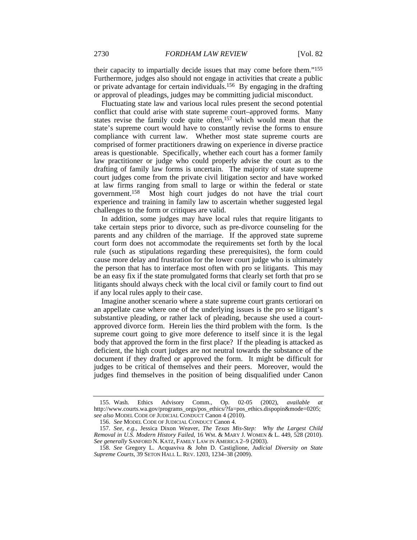their capacity to impartially decide issues that may come before them."155 Furthermore, judges also should not engage in activities that create a public or private advantage for certain individuals.156 By engaging in the drafting or approval of pleadings, judges may be committing judicial misconduct.

Fluctuating state law and various local rules present the second potential conflict that could arise with state supreme court–approved forms. Many states revise the family code quite often,157 which would mean that the state's supreme court would have to constantly revise the forms to ensure compliance with current law. Whether most state supreme courts are comprised of former practitioners drawing on experience in diverse practice areas is questionable. Specifically, whether each court has a former family law practitioner or judge who could properly advise the court as to the drafting of family law forms is uncertain. The majority of state supreme court judges come from the private civil litigation sector and have worked at law firms ranging from small to large or within the federal or state government.158 Most high court judges do not have the trial court experience and training in family law to ascertain whether suggested legal challenges to the form or critiques are valid.

In addition, some judges may have local rules that require litigants to take certain steps prior to divorce, such as pre-divorce counseling for the parents and any children of the marriage. If the approved state supreme court form does not accommodate the requirements set forth by the local rule (such as stipulations regarding these prerequisites), the form could cause more delay and frustration for the lower court judge who is ultimately the person that has to interface most often with pro se litigants. This may be an easy fix if the state promulgated forms that clearly set forth that pro se litigants should always check with the local civil or family court to find out if any local rules apply to their case.

Imagine another scenario where a state supreme court grants certiorari on an appellate case where one of the underlying issues is the pro se litigant's substantive pleading, or rather lack of pleading, because she used a courtapproved divorce form. Herein lies the third problem with the form. Is the supreme court going to give more deference to itself since it is the legal body that approved the form in the first place? If the pleading is attacked as deficient, the high court judges are not neutral towards the substance of the document if they drafted or approved the form. It might be difficult for judges to be critical of themselves and their peers. Moreover, would the judges find themselves in the position of being disqualified under Canon

 <sup>155.</sup> Wash. Ethics Advisory Comm., Op. 02-05 (2002), *available at* http://www.courts.wa.gov/programs\_orgs/pos\_ethics/?fa=pos\_ethics.dispopin&mode=0205; *see also* MODEL CODE OF JUDICIAL CONDUCT Canon 4 (2010).

<sup>156.</sup> *See* MODEL CODE OF JUDICIAL CONDUCT Canon 4.

<sup>157.</sup> *See, e.g.*, Jessica Dixon Weaver, *The Texas Mis-Step: Why the Largest Child Removal in U.S. Modern History Failed*, 16 WM. & MARY J. WOMEN & L. 449, 528 (2010). *See generally* SANFORD N. KATZ, FAMILY LAW IN AMERICA 2–9 (2003).

<sup>158.</sup> *See* Gregory L. Acquaviva & John D. Castiglione, *Judicial Diversity on State Supreme Courts*, 39 SETON HALL L. REV. 1203, 1234–38 (2009).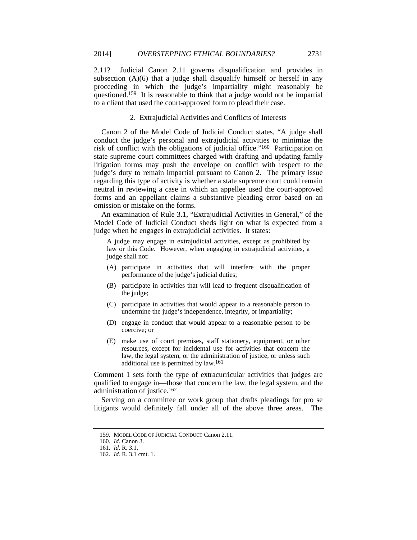2.11? Judicial Canon 2.11 governs disqualification and provides in subsection (A)(6) that a judge shall disqualify himself or herself in any proceeding in which the judge's impartiality might reasonably be questioned.159 It is reasonable to think that a judge would not be impartial to a client that used the court-approved form to plead their case.

## 2. Extrajudicial Activities and Conflicts of Interests

Canon 2 of the Model Code of Judicial Conduct states, "A judge shall conduct the judge's personal and extrajudicial activities to minimize the risk of conflict with the obligations of judicial office."160 Participation on state supreme court committees charged with drafting and updating family litigation forms may push the envelope on conflict with respect to the judge's duty to remain impartial pursuant to Canon 2. The primary issue regarding this type of activity is whether a state supreme court could remain neutral in reviewing a case in which an appellee used the court-approved forms and an appellant claims a substantive pleading error based on an omission or mistake on the forms.

An examination of Rule 3.1, "Extrajudicial Activities in General," of the Model Code of Judicial Conduct sheds light on what is expected from a judge when he engages in extrajudicial activities. It states:

A judge may engage in extrajudicial activities, except as prohibited by law or this Code. However, when engaging in extrajudicial activities, a judge shall not:

- (A) participate in activities that will interfere with the proper performance of the judge's judicial duties;
- (B) participate in activities that will lead to frequent disqualification of the judge;
- (C) participate in activities that would appear to a reasonable person to undermine the judge's independence, integrity, or impartiality;
- (D) engage in conduct that would appear to a reasonable person to be coercive; or
- (E) make use of court premises, staff stationery, equipment, or other resources, except for incidental use for activities that concern the law, the legal system, or the administration of justice, or unless such additional use is permitted by law.161

Comment 1 sets forth the type of extracurricular activities that judges are qualified to engage in—those that concern the law, the legal system, and the administration of justice.162

Serving on a committee or work group that drafts pleadings for pro se litigants would definitely fall under all of the above three areas. The

 <sup>159.</sup> MODEL CODE OF JUDICIAL CONDUCT Canon 2.11.

<sup>160.</sup> *Id.* Canon 3.

<sup>161.</sup> *Id.* R. 3.1.

<sup>162.</sup> *Id.* R. 3.1 cmt. 1.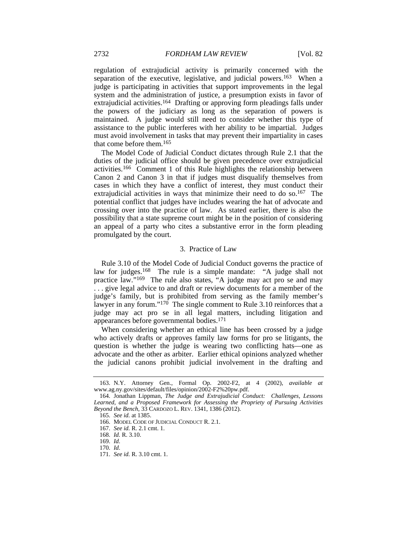regulation of extrajudicial activity is primarily concerned with the separation of the executive, legislative, and judicial powers.<sup>163</sup> When a judge is participating in activities that support improvements in the legal system and the administration of justice, a presumption exists in favor of extrajudicial activities.<sup>164</sup> Drafting or approving form pleadings falls under the powers of the judiciary as long as the separation of powers is maintained. A judge would still need to consider whether this type of assistance to the public interferes with her ability to be impartial. Judges must avoid involvement in tasks that may prevent their impartiality in cases that come before them.165

The Model Code of Judicial Conduct dictates through Rule 2.1 that the duties of the judicial office should be given precedence over extrajudicial activities.166 Comment 1 of this Rule highlights the relationship between Canon 2 and Canon 3 in that if judges must disqualify themselves from cases in which they have a conflict of interest, they must conduct their extrajudicial activities in ways that minimize their need to do so.<sup>167</sup> The potential conflict that judges have includes wearing the hat of advocate and crossing over into the practice of law. As stated earlier, there is also the possibility that a state supreme court might be in the position of considering an appeal of a party who cites a substantive error in the form pleading promulgated by the court.

### 3. Practice of Law

Rule 3.10 of the Model Code of Judicial Conduct governs the practice of law for judges.168 The rule is a simple mandate: "A judge shall not practice law."169 The rule also states, "A judge may act pro se and may . . . give legal advice to and draft or review documents for a member of the judge's family, but is prohibited from serving as the family member's lawyer in any forum."<sup>170</sup> The single comment to Rule 3.10 reinforces that a judge may act pro se in all legal matters, including litigation and appearances before governmental bodies.171

When considering whether an ethical line has been crossed by a judge who actively drafts or approves family law forms for pro se litigants, the question is whether the judge is wearing two conflicting hats—one as advocate and the other as arbiter. Earlier ethical opinions analyzed whether the judicial canons prohibit judicial involvement in the drafting and

 <sup>163.</sup> N.Y. Attorney Gen., Formal Op. 2002-F2, at 4 (2002), *available at* www.ag.ny.gov/sites/default/files/opinion/2002-F2%20pw.pdf.

 <sup>164.</sup> Jonathan Lippman, *The Judge and Extrajudicial Conduct: Challenges, Lessons Learned, and a Proposed Framework for Assessing the Propriety of Pursuing Activities Beyond the Bench*, 33 CARDOZO L. REV. 1341, 1386 (2012).

<sup>165.</sup> *See id.* at 1385.

 <sup>166.</sup> MODEL CODE OF JUDICIAL CONDUCT R. 2.1.

<sup>167.</sup> *See id.* R. 2.1 cmt. 1.

<sup>168.</sup> *Id.* R. 3.10.

<sup>169.</sup> *Id*.

<sup>170.</sup> *Id*.

 <sup>171.</sup> *See id.* R. 3.10 cmt. 1.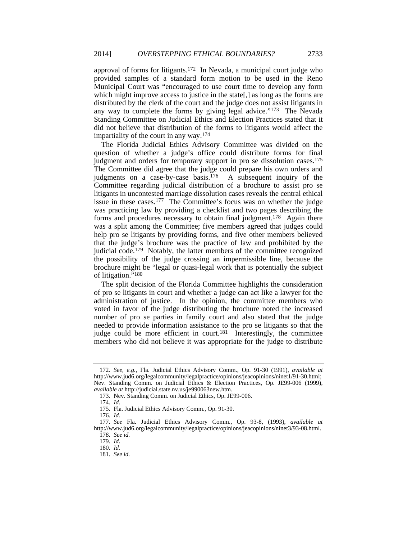approval of forms for litigants.172 In Nevada, a municipal court judge who provided samples of a standard form motion to be used in the Reno Municipal Court was "encouraged to use court time to develop any form which might improve access to justice in the state. as long as the forms are distributed by the clerk of the court and the judge does not assist litigants in any way to complete the forms by giving legal advice."173 The Nevada Standing Committee on Judicial Ethics and Election Practices stated that it did not believe that distribution of the forms to litigants would affect the impartiality of the court in any way.174

The Florida Judicial Ethics Advisory Committee was divided on the question of whether a judge's office could distribute forms for final judgment and orders for temporary support in pro se dissolution cases.<sup>175</sup> The Committee did agree that the judge could prepare his own orders and judgments on a case-by-case basis.<sup>176</sup> A subsequent inquiry of the Committee regarding judicial distribution of a brochure to assist pro se litigants in uncontested marriage dissolution cases reveals the central ethical issue in these cases.177 The Committee's focus was on whether the judge was practicing law by providing a checklist and two pages describing the forms and procedures necessary to obtain final judgment.178 Again there was a split among the Committee; five members agreed that judges could help pro se litigants by providing forms, and five other members believed that the judge's brochure was the practice of law and prohibited by the judicial code.179 Notably, the latter members of the committee recognized the possibility of the judge crossing an impermissible line, because the brochure might be "legal or quasi-legal work that is potentially the subject of litigation."180

The split decision of the Florida Committee highlights the consideration of pro se litigants in court and whether a judge can act like a lawyer for the administration of justice. In the opinion, the committee members who voted in favor of the judge distributing the brochure noted the increased number of pro se parties in family court and also stated that the judge needed to provide information assistance to the pro se litigants so that the judge could be more efficient in court.<sup>181</sup> Interestingly, the committee members who did not believe it was appropriate for the judge to distribute

<sup>172.</sup> *See, e.g.*, Fla. Judicial Ethics Advisory Comm., Op. 91-30 (1991), *available at*  http://www.jud6.org/legalcommunity/legalpractice/opinions/jeacopinions/ninet1/91-30.html; Nev. Standing Comm. on Judicial Ethics & Election Practices, Op. JE99-006 (1999), *available at* http://judicial.state.nv.us/je990063new.htm.

 <sup>173.</sup> Nev. Standing Comm. on Judicial Ethics, Op. JE99-006.

<sup>174.</sup> *Id*.

 <sup>175.</sup> Fla. Judicial Ethics Advisory Comm., Op. 91-30.

<sup>176.</sup> *Id.*

<sup>177.</sup> *See* Fla. Judicial Ethics Advisory Comm., Op. 93-8, (1993), *available at* http://www.jud6.org/legalcommunity/legalpractice/opinions/jeacopinions/ninet3/93-08.html. 178. *See id.*

<sup>179.</sup> *Id*.

<sup>180.</sup> *Id.*

<sup>181.</sup> *See id.*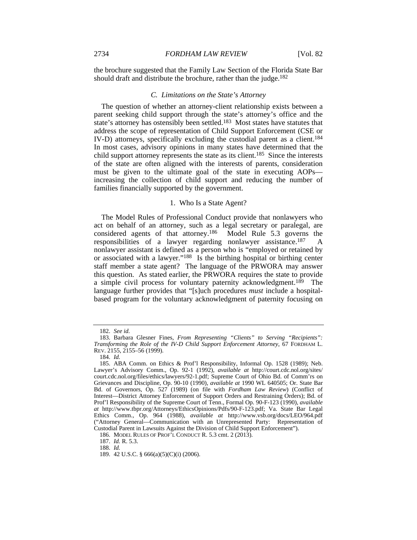the brochure suggested that the Family Law Section of the Florida State Bar should draft and distribute the brochure, rather than the judge.<sup>182</sup>

#### *C. Limitations on the State's Attorney*

The question of whether an attorney-client relationship exists between a parent seeking child support through the state's attorney's office and the state's attorney has ostensibly been settled.183 Most states have statutes that address the scope of representation of Child Support Enforcement (CSE or IV-D) attorneys, specifically excluding the custodial parent as a client.184 In most cases, advisory opinions in many states have determined that the child support attorney represents the state as its client.185 Since the interests of the state are often aligned with the interests of parents, consideration must be given to the ultimate goal of the state in executing AOPs increasing the collection of child support and reducing the number of families financially supported by the government.

### 1. Who Is a State Agent?

The Model Rules of Professional Conduct provide that nonlawyers who act on behalf of an attorney, such as a legal secretary or paralegal, are considered agents of that attorney.186 Model Rule 5.3 governs the responsibilities of a lawyer regarding nonlawyer assistance.187 A nonlawyer assistant is defined as a person who is "employed or retained by or associated with a lawyer."188 Is the birthing hospital or birthing center staff member a state agent? The language of the PRWORA may answer this question. As stated earlier, the PRWORA requires the state to provide a simple civil process for voluntary paternity acknowledgment.189 The language further provides that "[s]uch procedures *must* include a hospitalbased program for the voluntary acknowledgment of paternity focusing on

187. *Id.* R. 5.3.

188. *Id.*

<sup>182.</sup> *See id.*

 <sup>183.</sup> Barbara Glesner Fines, *From Representing "Clients" to Serving "Recipients": Transforming the Role of the IV-D Child Support Enforcement Attorney*, 67 FORDHAM L. REV. 2155, 2155–56 (1999).

<sup>184.</sup> *Id.*

 <sup>185.</sup> ABA Comm. on Ethics & Prof'l Responsibility, Informal Op. 1528 (1989); Neb. Lawyer's Advisory Comm., Op. 92-1 (1992), *available at* http://court.cdc.nol.org/sites/ court.cdc.nol.org/files/ethics/lawyers/92-1.pdf; Supreme Court of Ohio Bd. of Comm'rs on Grievances and Discipline, Op. 90-10 (1990), *available at* 1990 WL 640505; Or. State Bar Bd. of Governors, Op. 527 (1989) (on file with *Fordham Law Review*) (Conflict of Interest—District Attorney Enforcement of Support Orders and Restraining Orders); Bd. of Prof'l Responsibility of the Supreme Court of Tenn., Formal Op. 90-F-123 (1990), *available at* http://www.tbpr.org/Attorneys/EthicsOpinions/Pdfs/90-F-123.pdf; Va. State Bar Legal Ethics Comm., Op. 964 (1988), *available at* http://www.vsb.org/docs/LEO/964.pdf ("Attorney General—Communication with an Unrepresented Party: Representation of Custodial Parent in Lawsuits Against the Division of Child Support Enforcement").

 <sup>186.</sup> MODEL RULES OF PROF'L CONDUCT R. 5.3 cmt. 2 (2013).

 <sup>189. 42</sup> U.S.C. § 666(a)(5)(C)(i) (2006).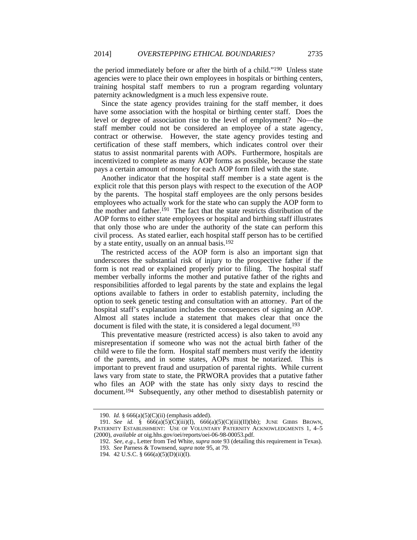the period immediately before or after the birth of a child."190 Unless state agencies were to place their own employees in hospitals or birthing centers, training hospital staff members to run a program regarding voluntary paternity acknowledgment is a much less expensive route.

Since the state agency provides training for the staff member, it does have some association with the hospital or birthing center staff. Does the level or degree of association rise to the level of employment? No—the staff member could not be considered an employee of a state agency, contract or otherwise. However, the state agency provides testing and certification of these staff members, which indicates control over their status to assist nonmarital parents with AOPs. Furthermore, hospitals are incentivized to complete as many AOP forms as possible, because the state pays a certain amount of money for each AOP form filed with the state.

Another indicator that the hospital staff member is a state agent is the explicit role that this person plays with respect to the execution of the AOP by the parents. The hospital staff employees are the only persons besides employees who actually work for the state who can supply the AOP form to the mother and father.191 The fact that the state restricts distribution of the AOP forms to either state employees or hospital and birthing staff illustrates that only those who are under the authority of the state can perform this civil process. As stated earlier, each hospital staff person has to be certified by a state entity, usually on an annual basis.<sup>192</sup>

The restricted access of the AOP form is also an important sign that underscores the substantial risk of injury to the prospective father if the form is not read or explained properly prior to filing. The hospital staff member verbally informs the mother and putative father of the rights and responsibilities afforded to legal parents by the state and explains the legal options available to fathers in order to establish paternity, including the option to seek genetic testing and consultation with an attorney. Part of the hospital staff's explanation includes the consequences of signing an AOP. Almost all states include a statement that makes clear that once the document is filed with the state, it is considered a legal document.<sup>193</sup>

This preventative measure (restricted access) is also taken to avoid any misrepresentation if someone who was not the actual birth father of the child were to file the form. Hospital staff members must verify the identity of the parents, and in some states, AOPs must be notarized. This is important to prevent fraud and usurpation of parental rights. While current laws vary from state to state, the PRWORA provides that a putative father who files an AOP with the state has only sixty days to rescind the document.194 Subsequently, any other method to disestablish paternity or

 <sup>190.</sup> *Id.* § 666(a)(5)(C)(ii) (emphasis added).

<sup>191.</sup> *See id.* § 666(a)(5)(C)(iii)(I), 666(a)(5)(C)(iii)(II)(bb); JUNE GIBBS BROWN, PATERNITY ESTABLISHMENT: USE OF VOLUNTARY PATERNITY ACKNOWLEDGMENTS 1, 4-5 (2000), *available at* oig.hhs.gov/oei/reports/oei-06-98-00053.pdf.

<sup>192.</sup> *See, e.g.*, Letter from Ted White, *supra* note 93 (detailing this requirement in Texas).

<sup>193.</sup> *See* Parness & Townsend, *supra* note 95, at 79.

 <sup>194. 42</sup> U.S.C. § 666(a)(5)(D)(ii)(I).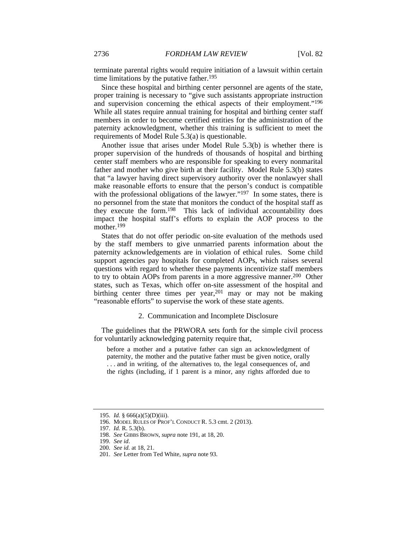terminate parental rights would require initiation of a lawsuit within certain time limitations by the putative father.<sup>195</sup>

Since these hospital and birthing center personnel are agents of the state, proper training is necessary to "give such assistants appropriate instruction and supervision concerning the ethical aspects of their employment."196 While all states require annual training for hospital and birthing center staff members in order to become certified entities for the administration of the paternity acknowledgment, whether this training is sufficient to meet the requirements of Model Rule 5.3(a) is questionable.

Another issue that arises under Model Rule 5.3(b) is whether there is proper supervision of the hundreds of thousands of hospital and birthing center staff members who are responsible for speaking to every nonmarital father and mother who give birth at their facility. Model Rule 5.3(b) states that "a lawyer having direct supervisory authority over the nonlawyer shall make reasonable efforts to ensure that the person's conduct is compatible with the professional obligations of the lawyer."<sup>197</sup> In some states, there is no personnel from the state that monitors the conduct of the hospital staff as they execute the form.198 This lack of individual accountability does impact the hospital staff's efforts to explain the AOP process to the mother.<sup>199</sup>

States that do not offer periodic on-site evaluation of the methods used by the staff members to give unmarried parents information about the paternity acknowledgements are in violation of ethical rules. Some child support agencies pay hospitals for completed AOPs, which raises several questions with regard to whether these payments incentivize staff members to try to obtain AOPs from parents in a more aggressive manner.200 Other states, such as Texas, which offer on-site assessment of the hospital and birthing center three times per year,  $201$  may or may not be making "reasonable efforts" to supervise the work of these state agents.

### 2. Communication and Incomplete Disclosure

The guidelines that the PRWORA sets forth for the simple civil process for voluntarily acknowledging paternity require that,

before a mother and a putative father can sign an acknowledgment of paternity, the mother and the putative father must be given notice, orally . . . and in writing, of the alternatives to, the legal consequences of, and the rights (including, if 1 parent is a minor, any rights afforded due to

 <sup>195.</sup> *Id.* § 666(a)(5)(D)(iii).

 <sup>196.</sup> MODEL RULES OF PROF'L CONDUCT R. 5.3 cmt. 2 (2013).

<sup>197.</sup> *Id.* R. 5.3(b).

<sup>198.</sup> *See* GIBBS BROWN, *supra* note 191, at 18, 20.

<sup>199.</sup> *See id*.

<sup>200.</sup> *See id.* at 18, 21.

<sup>201.</sup> *See* Letter from Ted White, *supra* note 93.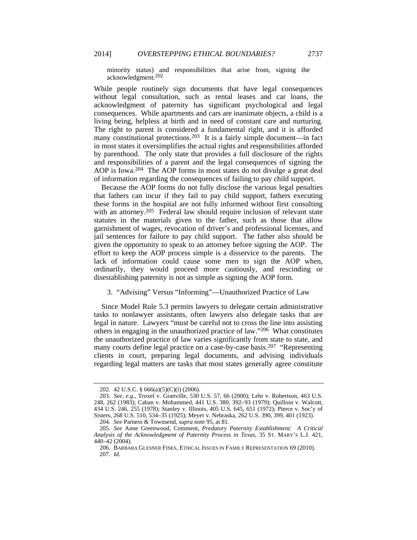minority status) and responsibilities that arise from, signing the acknowledgment.202

While people routinely sign documents that have legal consequences without legal consultation, such as rental leases and car loans, the acknowledgment of paternity has significant psychological and legal consequences. While apartments and cars are inanimate objects, a child is a living being, helpless at birth and in need of constant care and nurturing. The right to parent is considered a fundamental right, and it is afforded many constitutional protections.<sup>203</sup> It is a fairly simple document—in fact in most states it oversimplifies the actual rights and responsibilities afforded by parenthood. The only state that provides a full disclosure of the rights and responsibilities of a parent and the legal consequences of signing the AOP is Iowa.204 The AOP forms in most states do not divulge a great deal of information regarding the consequences of failing to pay child support.

Because the AOP forms do not fully disclose the various legal penalties that fathers can incur if they fail to pay child support, fathers executing these forms in the hospital are not fully informed without first consulting with an attorney.<sup>205</sup> Federal law should require inclusion of relevant state statutes in the materials given to the father, such as those that allow garnishment of wages, revocation of driver's and professional licenses, and jail sentences for failure to pay child support. The father also should be given the opportunity to speak to an attorney before signing the AOP. The effort to keep the AOP process simple is a disservice to the parents. The lack of information could cause some men to sign the AOP when, ordinarily, they would proceed more cautiously, and rescinding or disestablishing paternity is not as simple as signing the AOP form.

## 3. "Advising" Versus "Informing"—Unauthorized Practice of Law

Since Model Rule 5.3 permits lawyers to delegate certain administrative tasks to nonlawyer assistants, often lawyers also delegate tasks that are legal in nature. Lawyers "must be careful not to cross the line into assisting others in engaging in the unauthorized practice of law."206 What constitutes the unauthorized practice of law varies significantly from state to state, and many courts define legal practice on a case-by-case basis.207 "Representing clients in court, preparing legal documents, and advising individuals regarding legal matters are tasks that most states generally agree constitute

 <sup>202. 42</sup> U.S.C. § 666(a)(5)(C)(i) (2006).

<sup>203.</sup> *See, e.g.*, Troxel v. Granville, 530 U.S. 57, 66 (2000); Lehr v. Robertson, 463 U.S. 248, 262 (1983); Caban v. Mohammed, 441 U.S. 380, 392–93 (1979); Quilloin v. Walcott, 434 U.S. 246, 255 (1978); Stanley v. Illinois, 405 U.S. 645, 651 (1972); Pierce v. Soc'y of Sisters, 268 U.S. 510, 534–35 (1925); Meyer v. Nebraska, 262 U.S. 390, 399, 401 (1923).

<sup>204.</sup> *See* Parness & Townsend, *supra* note 95, at 81.

<sup>205.</sup> *See* Anne Greenwood, Comment, *Predatory Paternity Establishment: A Critical Analysis of the Acknowledgment of Paternity Process in Texas*, 35 ST. MARY'S L.J. 421, 440–42 (2004).

 <sup>206.</sup> BARBARA GLESNER FINES, ETHICAL ISSUES IN FAMILY REPRESENTATION 69 (2010). 207. *Id.*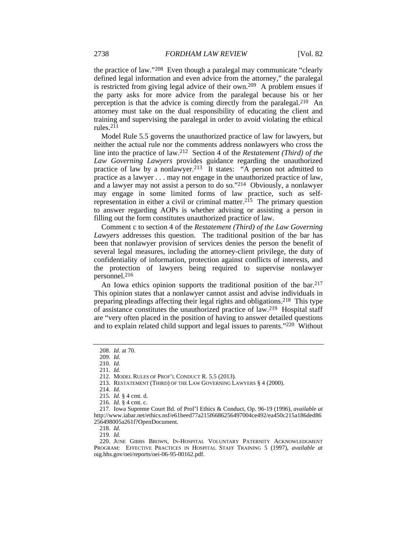the practice of law."208 Even though a paralegal may communicate "clearly defined legal information and even advice from the attorney," the paralegal is restricted from giving legal advice of their own.209 A problem ensues if the party asks for more advice from the paralegal because his or her perception is that the advice is coming directly from the paralegal.210 An attorney must take on the dual responsibility of educating the client and training and supervising the paralegal in order to avoid violating the ethical rules.211

Model Rule 5.5 governs the unauthorized practice of law for lawyers, but neither the actual rule nor the comments address nonlawyers who cross the line into the practice of law.212 Section 4 of the *Restatement (Third) of the Law Governing Lawyers* provides guidance regarding the unauthorized practice of law by a nonlawyer.<sup>213</sup> It states: "A person not admitted to practice as a lawyer . . . may not engage in the unauthorized practice of law, and a lawyer may not assist a person to do so."214 Obviously, a nonlawyer may engage in some limited forms of law practice, such as selfrepresentation in either a civil or criminal matter.<sup>215</sup> The primary question to answer regarding AOPs is whether advising or assisting a person in filling out the form constitutes unauthorized practice of law.

Comment c to section 4 of the *Restatement (Third) of the Law Governing Lawyers* addresses this question. The traditional position of the bar has been that nonlawyer provision of services denies the person the benefit of several legal measures, including the attorney-client privilege, the duty of confidentiality of information, protection against conflicts of interests, and the protection of lawyers being required to supervise nonlawyer personnel.216

An Iowa ethics opinion supports the traditional position of the bar.<sup>217</sup> This opinion states that a nonlawyer cannot assist and advise individuals in preparing pleadings affecting their legal rights and obligations.218 This type of assistance constitutes the unauthorized practice of law.219 Hospital staff are "very often placed in the position of having to answer detailed questions and to explain related child support and legal issues to parents."220 Without

<sup>208.</sup> *Id.* at 70.

<sup>209.</sup> *Id.*

<sup>210.</sup> *Id.*

<sup>211.</sup> *Id.*

 <sup>212.</sup> MODEL RULES OF PROF'L CONDUCT R. 5.5 (2013).

 <sup>213.</sup> RESTATEMENT (THIRD) OF THE LAW GOVERNING LAWYERS § 4 (2000).

<sup>214.</sup> *Id.*

<sup>215.</sup> *Id.* § 4 cmt. d.

<sup>216.</sup> *Id.* § 4 cmt. c.

 <sup>217.</sup> Iowa Supreme Court Bd. of Prof'l Ethics & Conduct, Op. 96-19 (1996), *available at* http://www.iabar.net/ethics.nsf/e61beed77a215f6686256497004ce492/ea450c215a186ded86 256498005a261f?OpenDocument.

<sup>218.</sup> *Id.*

<sup>219.</sup> *Id.*

 <sup>220.</sup> JUNE GIBBS BROWN, IN-HOSPITAL VOLUNTARY PATERNITY ACKNOWLEDGMENT PROGRAM: EFFECTIVE PRACTICES IN HOSPITAL STAFF TRAINING 5 (1997), *available at*  oig.hhs.gov/oei/reports/oei-06-95-00162.pdf .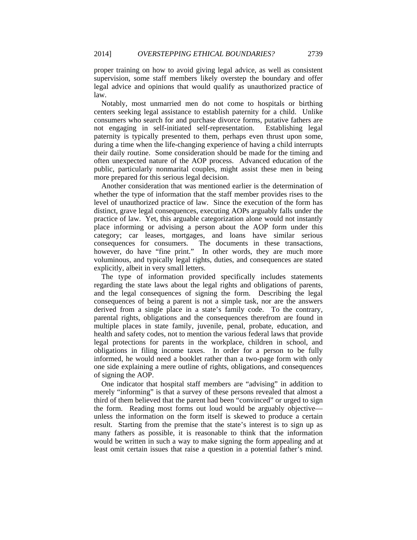proper training on how to avoid giving legal advice, as well as consistent supervision, some staff members likely overstep the boundary and offer legal advice and opinions that would qualify as unauthorized practice of law.

Notably, most unmarried men do not come to hospitals or birthing centers seeking legal assistance to establish paternity for a child. Unlike consumers who search for and purchase divorce forms, putative fathers are not engaging in self-initiated self-representation. Establishing legal paternity is typically presented to them, perhaps even thrust upon some, during a time when the life-changing experience of having a child interrupts their daily routine. Some consideration should be made for the timing and often unexpected nature of the AOP process. Advanced education of the public, particularly nonmarital couples, might assist these men in being more prepared for this serious legal decision.

Another consideration that was mentioned earlier is the determination of whether the type of information that the staff member provides rises to the level of unauthorized practice of law. Since the execution of the form has distinct, grave legal consequences, executing AOPs arguably falls under the practice of law. Yet, this arguable categorization alone would not instantly place informing or advising a person about the AOP form under this category; car leases, mortgages, and loans have similar serious consequences for consumers. The documents in these transactions, however, do have "fine print." In other words, they are much more voluminous, and typically legal rights, duties, and consequences are stated explicitly, albeit in very small letters.

The type of information provided specifically includes statements regarding the state laws about the legal rights and obligations of parents, and the legal consequences of signing the form. Describing the legal consequences of being a parent is not a simple task, nor are the answers derived from a single place in a state's family code. To the contrary, parental rights, obligations and the consequences therefrom are found in multiple places in state family, juvenile, penal, probate, education, and health and safety codes, not to mention the various federal laws that provide legal protections for parents in the workplace, children in school, and obligations in filing income taxes. In order for a person to be fully informed, he would need a booklet rather than a two-page form with only one side explaining a mere outline of rights, obligations, and consequences of signing the AOP.

One indicator that hospital staff members are "advising" in addition to merely "informing" is that a survey of these persons revealed that almost a third of them believed that the parent had been "convinced" or urged to sign the form. Reading most forms out loud would be arguably objective unless the information on the form itself is skewed to produce a certain result. Starting from the premise that the state's interest is to sign up as many fathers as possible, it is reasonable to think that the information would be written in such a way to make signing the form appealing and at least omit certain issues that raise a question in a potential father's mind.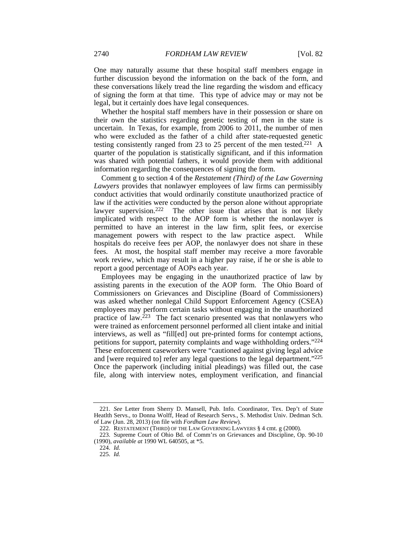One may naturally assume that these hospital staff members engage in further discussion beyond the information on the back of the form, and these conversations likely tread the line regarding the wisdom and efficacy of signing the form at that time. This type of advice may or may not be legal, but it certainly does have legal consequences.

Whether the hospital staff members have in their possession or share on their own the statistics regarding genetic testing of men in the state is uncertain. In Texas, for example, from 2006 to 2011, the number of men who were excluded as the father of a child after state-requested genetic testing consistently ranged from 23 to 25 percent of the men tested.<sup>221</sup> A quarter of the population is statistically significant, and if this information was shared with potential fathers, it would provide them with additional information regarding the consequences of signing the form.

Comment g to section 4 of the *Restatement (Third) of the Law Governing Lawyers* provides that nonlawyer employees of law firms can permissibly conduct activities that would ordinarily constitute unauthorized practice of law if the activities were conducted by the person alone without appropriate lawyer supervision.<sup>222</sup> The other issue that arises that is not likely implicated with respect to the AOP form is whether the nonlawyer is permitted to have an interest in the law firm, split fees, or exercise management powers with respect to the law practice aspect. While hospitals do receive fees per AOP, the nonlawyer does not share in these fees. At most, the hospital staff member may receive a more favorable work review, which may result in a higher pay raise, if he or she is able to report a good percentage of AOPs each year.

Employees may be engaging in the unauthorized practice of law by assisting parents in the execution of the AOP form. The Ohio Board of Commissioners on Grievances and Discipline (Board of Commissioners) was asked whether nonlegal Child Support Enforcement Agency (CSEA) employees may perform certain tasks without engaging in the unauthorized practice of law. $223$  The fact scenario presented was that nonlawyers who were trained as enforcement personnel performed all client intake and initial interviews, as well as "fill[ed] out pre-printed forms for contempt actions, petitions for support, paternity complaints and wage withholding orders."224 These enforcement caseworkers were "cautioned against giving legal advice and [were required to] refer any legal questions to the legal department."225 Once the paperwork (including initial pleadings) was filled out, the case file, along with interview notes, employment verification, and financial

<sup>221.</sup> *See* Letter from Sherry D. Mansell, Pub. Info. Coordinator, Tex. Dep't of State Heatlth Servs., to Donna Wolff, Head of Research Servs., S. Methodist Univ. Dedman Sch. of Law (Jun. 28, 2013) (on file with *Fordham Law Review*).

 <sup>222.</sup> RESTATEMENT (THIRD) OF THE LAW GOVERNING LAWYERS § 4 cmt. g (2000).

 <sup>223.</sup> Supreme Court of Ohio Bd. of Comm'rs on Grievances and Discipline, Op. 90-10 (1990), *available at* 1990 WL 640505, at \*5.

<sup>224.</sup> *Id.*

<sup>225.</sup> *Id.*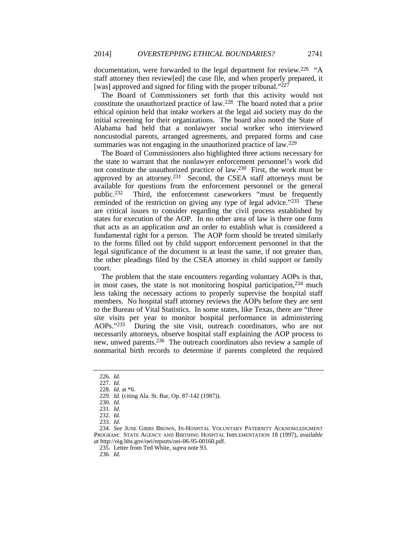documentation, were forwarded to the legal department for review.<sup>226</sup> "A staff attorney then review[ed] the case file, and when properly prepared, it [was] approved and signed for filing with the proper tribunal."227

The Board of Commissioners set forth that this activity would not constitute the unauthorized practice of law.228 The board noted that a prior ethical opinion held that intake workers at the legal aid society may do the initial screening for their organizations. The board also noted the State of Alabama had held that a nonlawyer social worker who interviewed noncustodial parents, arranged agreements, and prepared forms and case summaries was not engaging in the unauthorized practice of law.<sup>229</sup>

The Board of Commissioners also highlighted three actions necessary for the state to warrant that the nonlawyer enforcement personnel's work did not constitute the unauthorized practice of law.230 First, the work must be approved by an attorney.<sup>231</sup> Second, the CSEA staff attorneys must be available for questions from the enforcement personnel or the general public.232 Third, the enforcement caseworkers "must be frequently reminded of the restriction on giving any type of legal advice."<sup>233</sup> These are critical issues to consider regarding the civil process established by states for execution of the AOP. In no other area of law is there one form that acts as an application *and* an order to establish what is considered a fundamental right for a person. The AOP form should be treated similarly to the forms filled out by child support enforcement personnel in that the legal significance of the document is at least the same, if not greater than, the other pleadings filed by the CSEA attorney in child support or family court.

The problem that the state encounters regarding voluntary AOPs is that, in most cases, the state is not monitoring hospital participation, $234$  much less taking the necessary actions to properly supervise the hospital staff members. No hospital staff attorney reviews the AOPs before they are sent to the Bureau of Vital Statistics. In some states, like Texas, there are "three site visits per year to monitor hospital performance in administering AOPs."235 During the site visit, outreach coordinators, who are not necessarily attorneys, observe hospital staff explaining the AOP process to new, unwed parents.236 The outreach coordinators also review a sample of nonmarital birth records to determine if parents completed the required

<sup>226.</sup> *Id.*

<sup>227.</sup> *Id.*

<sup>228.</sup> *Id.* at \*6.

<sup>229.</sup> *Id.* (citing Ala. St. Bar, Op. 87-142 (1987)).

<sup>230.</sup> *Id.*

<sup>231.</sup> *Id.*

<sup>232.</sup> *Id.*

<sup>233.</sup> *Id.*

<sup>234.</sup> *See* JUNE GIBBS BROWN, IN-HOSPITAL VOLUNTARY PATERNITY ACKNOWLEDGMENT PROGRAM: STATE AGENCY AND BIRTHING HOSPITAL IMPLEMENTATION 18 (1997), *available at* http://oig.hhs.gov/oei/reports/oei-06-95-00160.pdf.

 <sup>235.</sup> Letter from Ted White, *supra* note 93.

<sup>236.</sup> *Id.*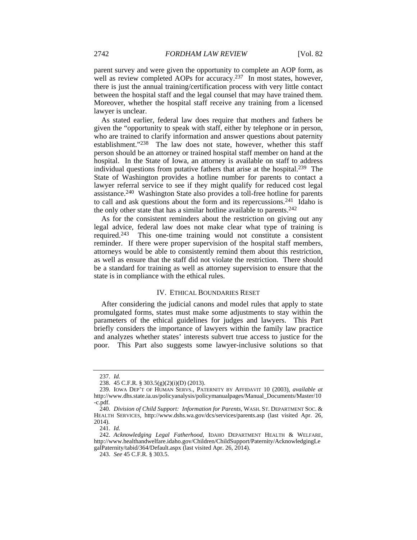parent survey and were given the opportunity to complete an AOP form, as well as review completed AOPs for accuracy.<sup>237</sup> In most states, however, there is just the annual training/certification process with very little contact between the hospital staff and the legal counsel that may have trained them. Moreover, whether the hospital staff receive any training from a licensed lawyer is unclear.

As stated earlier, federal law does require that mothers and fathers be given the "opportunity to speak with staff, either by telephone or in person, who are trained to clarify information and answer questions about paternity establishment."238 The law does not state, however, whether this staff person should be an attorney or trained hospital staff member on hand at the hospital. In the State of Iowa, an attorney is available on staff to address individual questions from putative fathers that arise at the hospital.239 The State of Washington provides a hotline number for parents to contact a lawyer referral service to see if they might qualify for reduced cost legal assistance.240 Washington State also provides a toll-free hotline for parents to call and ask questions about the form and its repercussions.<sup>241</sup> Idaho is the only other state that has a similar hotline available to parents.<sup>242</sup>

As for the consistent reminders about the restriction on giving out any legal advice, federal law does not make clear what type of training is required.243 This one-time training would not constitute a consistent reminder. If there were proper supervision of the hospital staff members, attorneys would be able to consistently remind them about this restriction, as well as ensure that the staff did not violate the restriction. There should be a standard for training as well as attorney supervision to ensure that the state is in compliance with the ethical rules.

#### IV. ETHICAL BOUNDARIES RESET

After considering the judicial canons and model rules that apply to state promulgated forms, states must make some adjustments to stay within the parameters of the ethical guidelines for judges and lawyers. This Part briefly considers the importance of lawyers within the family law practice and analyzes whether states' interests subvert true access to justice for the poor. This Part also suggests some lawyer-inclusive solutions so that

<sup>237.</sup> *Id.*

 <sup>238. 45</sup> C.F.R. § 303.5(g)(2)(i)(D) (2013).

<sup>239.</sup> IOWA DEP'T OF HUMAN SERVS., PATERNITY BY AFFIDAVIT 10 (2003), *available at*  http://www.dhs.state.ia.us/policyanalysis/policymanualpages/Manual\_Documents/Master/10 -c.pdf.

<sup>240.</sup> *Division of Child Support: Information for Parents*, WASH. ST. DEPARTMENT SOC. & HEALTH SERVICES, http://www.dshs.wa.gov/dcs/services/parents.asp (last visited Apr. 26, 2014).

<sup>241.</sup> *Id.*

<sup>242.</sup> *Acknowledging Legal Fatherhood*, IDAHO DEPARTMENT HEALTH & WELFARE, http://www.healthandwelfare.idaho.gov/Children/ChildSupport/Paternity/AcknowledgingLe galPaternity/tabid/364/Default.aspx (last visited Apr. 26, 2014).

<sup>243.</sup> *See* 45 C.F.R. § 303.5.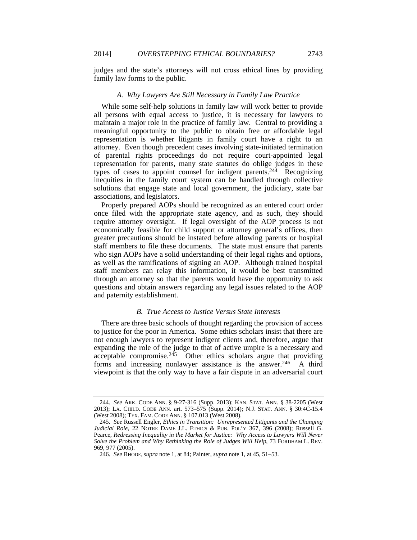judges and the state's attorneys will not cross ethical lines by providing family law forms to the public.

#### *A. Why Lawyers Are Still Necessary in Family Law Practice*

While some self-help solutions in family law will work better to provide all persons with equal access to justice, it is necessary for lawyers to maintain a major role in the practice of family law. Central to providing a meaningful opportunity to the public to obtain free or affordable legal representation is whether litigants in family court have a right to an attorney. Even though precedent cases involving state-initiated termination of parental rights proceedings do not require court-appointed legal representation for parents, many state statutes do oblige judges in these types of cases to appoint counsel for indigent parents.244 Recognizing inequities in the family court system can be handled through collective solutions that engage state and local government, the judiciary, state bar associations, and legislators.

Properly prepared AOPs should be recognized as an entered court order once filed with the appropriate state agency, and as such, they should require attorney oversight. If legal oversight of the AOP process is not economically feasible for child support or attorney general's offices, then greater precautions should be instated before allowing parents or hospital staff members to file these documents. The state must ensure that parents who sign AOPs have a solid understanding of their legal rights and options, as well as the ramifications of signing an AOP. Although trained hospital staff members can relay this information, it would be best transmitted through an attorney so that the parents would have the opportunity to ask questions and obtain answers regarding any legal issues related to the AOP and paternity establishment.

### *B. True Access to Justice Versus State Interests*

There are three basic schools of thought regarding the provision of access to justice for the poor in America. Some ethics scholars insist that there are not enough lawyers to represent indigent clients and, therefore, argue that expanding the role of the judge to that of active umpire is a necessary and acceptable compromise.245 Other ethics scholars argue that providing forms and increasing nonlawyer assistance is the answer.<sup>246</sup> A third viewpoint is that the only way to have a fair dispute in an adversarial court

<sup>244.</sup> *See* ARK. CODE ANN. § 9-27-316 (Supp. 2013); KAN. STAT. ANN. § 38-2205 (West 2013); LA. CHILD. CODE ANN. art. 573–575 (Supp. 2014); N.J. STAT. ANN. § 30:4C-15.4 (West 2008); TEX. FAM. CODE ANN. § 107.013 (West 2008).

<sup>245.</sup> *See* Russell Engler, *Ethics in Transition: Unrepresented Litigants and the Changing Judicial Role*, 22 NOTRE DAME J.L. ETHICS & PUB. POL'Y 367, 396 (2008); Russell G. Pearce, *Redressing Inequality in the Market for Justice: Why Access to Lawyers Will Never Solve the Problem and Why Rethinking the Role of Judges Will Help*, 73 FORDHAM L. REV. 969, 977 (2005).

<sup>246.</sup> *See* RHODE, *supra* note 1, at 84; Painter, *supra* note 1, at 45, 51–53.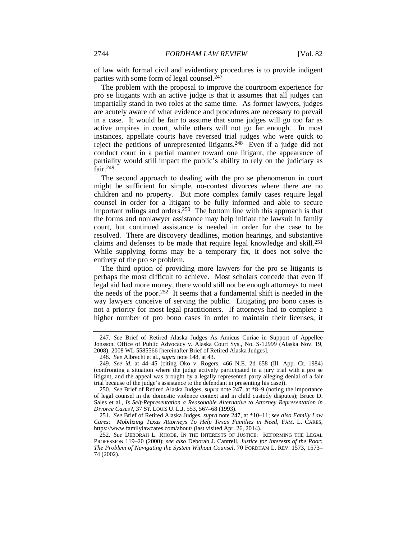of law with formal civil and evidentiary procedures is to provide indigent parties with some form of legal counsel. $247$ 

The problem with the proposal to improve the courtroom experience for pro se litigants with an active judge is that it assumes that all judges can impartially stand in two roles at the same time. As former lawyers, judges are acutely aware of what evidence and procedures are necessary to prevail in a case. It would be fair to assume that some judges will go too far as active umpires in court, while others will not go far enough. In most instances, appellate courts have reversed trial judges who were quick to reject the petitions of unrepresented litigants.<sup>248</sup> Even if a judge did not conduct court in a partial manner toward one litigant, the appearance of partiality would still impact the public's ability to rely on the judiciary as fair.249

The second approach to dealing with the pro se phenomenon in court might be sufficient for simple, no-contest divorces where there are no children and no property. But more complex family cases require legal counsel in order for a litigant to be fully informed and able to secure important rulings and orders.250 The bottom line with this approach is that the forms and nonlawyer assistance may help initiate the lawsuit in family court, but continued assistance is needed in order for the case to be resolved. There are discovery deadlines, motion hearings, and substantive claims and defenses to be made that require legal knowledge and skill.251 While supplying forms may be a temporary fix, it does not solve the entirety of the pro se problem.

The third option of providing more lawyers for the pro se litigants is perhaps the most difficult to achieve. Most scholars concede that even if legal aid had more money, there would still not be enough attorneys to meet the needs of the poor.252 It seems that a fundamental shift is needed in the way lawyers conceive of serving the public. Litigating pro bono cases is not a priority for most legal practitioners. If attorneys had to complete a higher number of pro bono cases in order to maintain their licenses, it

<sup>247.</sup> *See* Brief of Retired Alaska Judges As Amicus Curiae in Support of Appellee Jonsson, Office of Public Advocacy v. Alaska Court Sys., No. S-12999 (Alaska Nov. 19, 2008), 2008 WL 5585566 [hereinafter Brief of Retired Alaska Judges].

<sup>248.</sup> *See* Albrecht et al., *supra* note 148, at 43.

<sup>249.</sup> *See id.* at 44–45 (citing Oko v. Rogers, 466 N.E. 2d 658 (Ill. App. Ct. 1984) (confronting a situation where the judge actively participated in a jury trial with a pro se litigant, and the appeal was brought by a legally represented party alleging denial of a fair trial because of the judge's assistance to the defendant in presenting his case)).

<sup>250.</sup> *See* Brief of Retired Alaska Judges, *supra* note 247, at \*8–9 (noting the importance of legal counsel in the domestic violence context and in child custody disputes); Bruce D. Sales et al., *Is Self-Representation a Reasonable Alternative to Attorney Representation in Divorce Cases?*, 37 ST. LOUIS U. L.J. 553, 567–68 (1993).

<sup>251.</sup> *See* Brief of Retired Alaska Judges, *supra* note 247, at \*10–11; *see also Family Law Cares: Mobilizing Texas Attorneys To Help Texas Families in Need*, FAM. L. CARES, https://www.familylawcares.com/about/ (last visited Apr. 26, 2014).

<sup>252.</sup> *See* DEBORAH L. RHODE, IN THE INTERESTS OF JUSTICE: REFORMING THE LEGAL PROFESSION 119–20 (2000); *see also* Deborah J. Cantrell, *Justice for Interests of the Poor: The Problem of Navigating the System Without Counsel,* 70 FORDHAM L. REV. 1573, 1573– 74 (2002).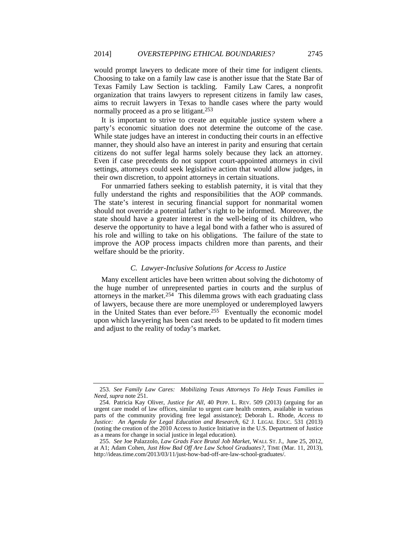would prompt lawyers to dedicate more of their time for indigent clients. Choosing to take on a family law case is another issue that the State Bar of Texas Family Law Section is tackling. Family Law Cares, a nonprofit organization that trains lawyers to represent citizens in family law cases, aims to recruit lawyers in Texas to handle cases where the party would normally proceed as a pro se litigant.<sup>253</sup>

It is important to strive to create an equitable justice system where a party's economic situation does not determine the outcome of the case. While state judges have an interest in conducting their courts in an effective manner, they should also have an interest in parity and ensuring that certain citizens do not suffer legal harms solely because they lack an attorney. Even if case precedents do not support court-appointed attorneys in civil settings, attorneys could seek legislative action that would allow judges, in their own discretion, to appoint attorneys in certain situations.

For unmarried fathers seeking to establish paternity, it is vital that they fully understand the rights and responsibilities that the AOP commands. The state's interest in securing financial support for nonmarital women should not override a potential father's right to be informed. Moreover, the state should have a greater interest in the well-being of its children, who deserve the opportunity to have a legal bond with a father who is assured of his role and willing to take on his obligations. The failure of the state to improve the AOP process impacts children more than parents, and their welfare should be the priority.

#### *C. Lawyer-Inclusive Solutions for Access to Justice*

Many excellent articles have been written about solving the dichotomy of the huge number of unrepresented parties in courts and the surplus of attorneys in the market.<sup>254</sup> This dilemma grows with each graduating class of lawyers, because there are more unemployed or underemployed lawyers in the United States than ever before.<sup>255</sup> Eventually the economic model upon which lawyering has been cast needs to be updated to fit modern times and adjust to the reality of today's market.

<sup>253.</sup> *See Family Law Cares: Mobilizing Texas Attorneys To Help Texas Families in Need*, *supra* note 251.

 <sup>254.</sup> Patricia Kay Oliver, *Justice for All*, 40 PEPP. L. REV. 509 (2013) (arguing for an urgent care model of law offices, similar to urgent care health centers, available in various parts of the community providing free legal assistance); Deborah L. Rhode, *Access to Justice: An Agenda for Legal Education and Research*, 62 J. LEGAL EDUC. 531 (2013) (noting the creation of the 2010 Access to Justice Initiative in the U.S. Department of Justice as a means for change in social justice in legal education).

<sup>255.</sup> *See* Joe Palazzolo, *Law Grads Face Brutal Job Market*, WALL ST. J., June 25, 2012, at A1; Adam Cohen, *Just How Bad Off Are Law School Graduates?*, TIME (Mar. 11, 2013), http://ideas.time.com/2013/03/11/just-how-bad-off-are-law-school-graduates/.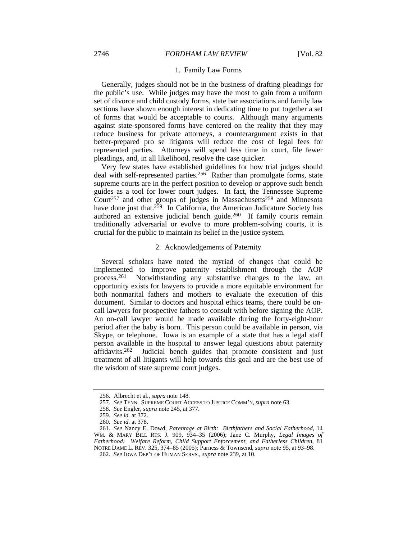#### 1. Family Law Forms

Generally, judges should not be in the business of drafting pleadings for the public's use. While judges may have the most to gain from a uniform set of divorce and child custody forms, state bar associations and family law sections have shown enough interest in dedicating time to put together a set of forms that would be acceptable to courts. Although many arguments against state-sponsored forms have centered on the reality that they may reduce business for private attorneys, a counterargument exists in that better-prepared pro se litigants will reduce the cost of legal fees for represented parties. Attorneys will spend less time in court, file fewer pleadings, and, in all likelihood, resolve the case quicker.

Very few states have established guidelines for how trial judges should deal with self-represented parties.256 Rather than promulgate forms, state supreme courts are in the perfect position to develop or approve such bench guides as a tool for lower court judges. In fact, the Tennessee Supreme  $Country<sub>257</sub>$  and other groups of judges in Massachusetts<sup>258</sup> and Minnesota have done just that.<sup>259</sup> In California, the American Judicature Society has authored an extensive judicial bench guide.260 If family courts remain traditionally adversarial or evolve to more problem-solving courts, it is crucial for the public to maintain its belief in the justice system.

### 2. Acknowledgements of Paternity

Several scholars have noted the myriad of changes that could be implemented to improve paternity establishment through the AOP process.261 Notwithstanding any substantive changes to the law, an opportunity exists for lawyers to provide a more equitable environment for both nonmarital fathers and mothers to evaluate the execution of this document. Similar to doctors and hospital ethics teams, there could be oncall lawyers for prospective fathers to consult with before signing the AOP. An on-call lawyer would be made available during the forty-eight-hour period after the baby is born. This person could be available in person, via Skype, or telephone. Iowa is an example of a state that has a legal staff person available in the hospital to answer legal questions about paternity affidavits.262 Judicial bench guides that promote consistent and just treatment of all litigants will help towards this goal and are the best use of the wisdom of state supreme court judges.

 <sup>256.</sup> Albrecht et al., *supra* note 148.

<sup>257.</sup> *See* TENN. SUPREME COURT ACCESS TO JUSTICE COMM'N, *supra* note 63.

<sup>258.</sup> *See* Engler, *supra* note 245, at 377.

<sup>259.</sup> *See id.* at 372.

<sup>260.</sup> *See id.* at 378.

<sup>261.</sup> *See* Nancy E. Dowd, *Parentage at Birth: Birthfathers and Social Fatherhood*, 14 WM. & MARY BILL RTS. J. 909, 934–35 (2006); Jane C. Murphy, *Legal Images of Fatherhood: Welfare Reform, Child Support Enforcement, and Fatherless Children*, 81 NOTRE DAME L. REV. 325, 374–85 (2005); Parness & Townsend, *supra* note 95, at 93–98.

<sup>262.</sup> *See* IOWA DEP'T OF HUMAN SERVS., *supra* note 239, at 10.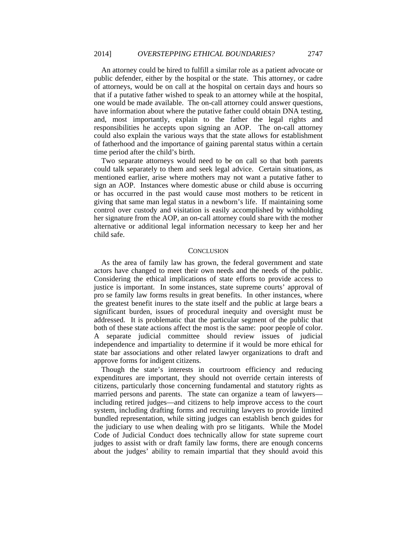An attorney could be hired to fulfill a similar role as a patient advocate or public defender, either by the hospital or the state. This attorney, or cadre of attorneys, would be on call at the hospital on certain days and hours so that if a putative father wished to speak to an attorney while at the hospital, one would be made available. The on-call attorney could answer questions, have information about where the putative father could obtain DNA testing, and, most importantly, explain to the father the legal rights and responsibilities he accepts upon signing an AOP. The on-call attorney could also explain the various ways that the state allows for establishment of fatherhood and the importance of gaining parental status within a certain time period after the child's birth.

Two separate attorneys would need to be on call so that both parents could talk separately to them and seek legal advice. Certain situations, as mentioned earlier, arise where mothers may not want a putative father to sign an AOP. Instances where domestic abuse or child abuse is occurring or has occurred in the past would cause most mothers to be reticent in giving that same man legal status in a newborn's life. If maintaining some control over custody and visitation is easily accomplished by withholding her signature from the AOP, an on-call attorney could share with the mother alternative or additional legal information necessary to keep her and her child safe.

#### **CONCLUSION**

As the area of family law has grown, the federal government and state actors have changed to meet their own needs and the needs of the public. Considering the ethical implications of state efforts to provide access to justice is important. In some instances, state supreme courts' approval of pro se family law forms results in great benefits. In other instances, where the greatest benefit inures to the state itself and the public at large bears a significant burden, issues of procedural inequity and oversight must be addressed. It is problematic that the particular segment of the public that both of these state actions affect the most is the same: poor people of color. A separate judicial committee should review issues of judicial independence and impartiality to determine if it would be more ethical for state bar associations and other related lawyer organizations to draft and approve forms for indigent citizens.

Though the state's interests in courtroom efficiency and reducing expenditures are important, they should not override certain interests of citizens, particularly those concerning fundamental and statutory rights as married persons and parents. The state can organize a team of lawyers including retired judges—and citizens to help improve access to the court system, including drafting forms and recruiting lawyers to provide limited bundled representation, while sitting judges can establish bench guides for the judiciary to use when dealing with pro se litigants. While the Model Code of Judicial Conduct does technically allow for state supreme court judges to assist with or draft family law forms, there are enough concerns about the judges' ability to remain impartial that they should avoid this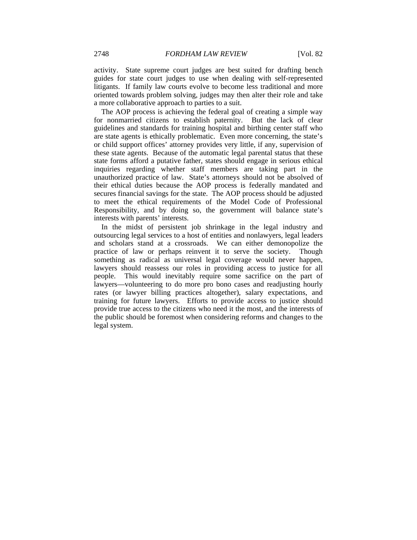activity. State supreme court judges are best suited for drafting bench guides for state court judges to use when dealing with self-represented litigants. If family law courts evolve to become less traditional and more oriented towards problem solving, judges may then alter their role and take a more collaborative approach to parties to a suit.

The AOP process is achieving the federal goal of creating a simple way for nonmarried citizens to establish paternity. But the lack of clear guidelines and standards for training hospital and birthing center staff who are state agents is ethically problematic. Even more concerning, the state's or child support offices' attorney provides very little, if any, supervision of these state agents. Because of the automatic legal parental status that these state forms afford a putative father, states should engage in serious ethical inquiries regarding whether staff members are taking part in the unauthorized practice of law. State's attorneys should not be absolved of their ethical duties because the AOP process is federally mandated and secures financial savings for the state. The AOP process should be adjusted to meet the ethical requirements of the Model Code of Professional Responsibility, and by doing so, the government will balance state's interests with parents' interests.

In the midst of persistent job shrinkage in the legal industry and outsourcing legal services to a host of entities and nonlawyers, legal leaders and scholars stand at a crossroads. We can either demonopolize the practice of law or perhaps reinvent it to serve the society. Though something as radical as universal legal coverage would never happen, lawyers should reassess our roles in providing access to justice for all people. This would inevitably require some sacrifice on the part of lawyers—volunteering to do more pro bono cases and readjusting hourly rates (or lawyer billing practices altogether), salary expectations, and training for future lawyers. Efforts to provide access to justice should provide true access to the citizens who need it the most, and the interests of the public should be foremost when considering reforms and changes to the legal system.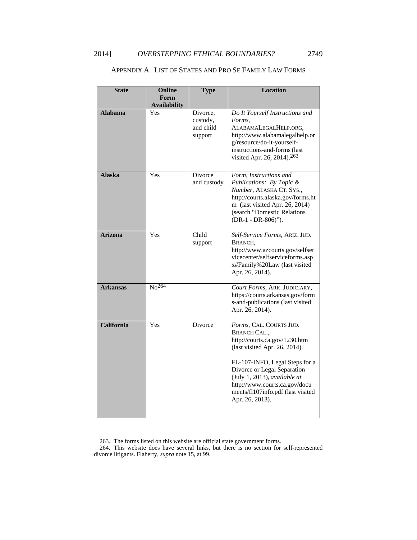| <b>State</b>    | Online                       | <b>Type</b>                                  | <b>Location</b>                                                                                                                                                                                                                                                                                            |
|-----------------|------------------------------|----------------------------------------------|------------------------------------------------------------------------------------------------------------------------------------------------------------------------------------------------------------------------------------------------------------------------------------------------------------|
|                 | Form                         |                                              |                                                                                                                                                                                                                                                                                                            |
| <b>Alabama</b>  | <b>Availability</b><br>Yes   | Divorce,<br>custody,<br>and child<br>support | Do It Yourself Instructions and<br>Forms,<br>ALABAMALEGALHELP.ORG,<br>http://www.alabamalegalhelp.or<br>g/resource/do-it-yourself-<br>instructions-and-forms (last<br>visited Apr. 26, 2014). <sup>263</sup>                                                                                               |
| <b>Alaska</b>   | Yes                          | Divorce<br>and custody                       | Form, Instructions and<br>Publications: By Topic &<br>Number, ALASKA CT. SYS.,<br>http://courts.alaska.gov/forms.ht<br>m (last visited Apr. 26, 2014)<br>(search "Domestic Relations<br>(DR-1 - DR-806)").                                                                                                 |
| Arizona         | Yes                          | Child<br>support                             | Self-Service Forms, ARIZ. JUD.<br>BRANCH,<br>http://www.azcourts.gov/selfser<br>vicecenter/selfserviceforms.asp<br>x#Family%20Law (last visited<br>Apr. 26, 2014).                                                                                                                                         |
| <b>Arkansas</b> | $\overline{\text{No}^{264}}$ |                                              | Court Forms, ARK. JUDICIARY,<br>https://courts.arkansas.gov/form<br>s-and-publications (last visited<br>Apr. 26, 2014).                                                                                                                                                                                    |
| California      | Yes                          | Divorce                                      | Forms, CAL. COURTS JUD.<br><b>BRANCH CAL.,</b><br>http://courts.ca.gov/1230.htm<br>(last visited Apr. 26, 2014).<br>FL-107-INFO, Legal Steps for a<br>Divorce or Legal Separation<br>(July 1, 2013), available at<br>http://www.courts.ca.gov/docu<br>ments/fl107info.pdf (last visited<br>Apr. 26, 2013). |

## APPENDIX A. LIST OF STATES AND PRO SE FAMILY LAW FORMS

<sup>263.</sup> The forms listed on this website are official state government forms.

<sup>264.</sup> This website does have several links, but there is no section for self-represented divorce litigants. Flaherty, *supra* note 15, at 99.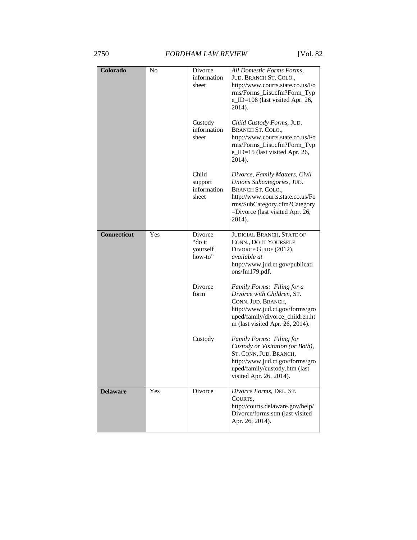## 2750 *FORDHAM LAW REVIEW* [Vol. 82

| Colorado           | No  | Divorce<br>information<br>sheet          | All Domestic Forms Forms,<br>JUD. BRANCH ST. COLO.,<br>http://www.courts.state.co.us/Fo<br>rms/Forms_List.cfm?Form_Typ<br>e_ID=108 (last visited Apr. 26,<br>2014).                                       |
|--------------------|-----|------------------------------------------|-----------------------------------------------------------------------------------------------------------------------------------------------------------------------------------------------------------|
|                    |     | Custody<br>information<br>sheet          | Child Custody Forms, JUD.<br>BRANCH ST. COLO.,<br>http://www.courts.state.co.us/Fo<br>rms/Forms_List.cfm?Form_Typ<br>e_ID=15 (last visited Apr. 26,<br>2014).                                             |
|                    |     | Child<br>support<br>information<br>sheet | Divorce, Family Matters, Civil<br>Unions Subcategories, JUD.<br><b>BRANCH ST. COLO.,</b><br>http://www.courts.state.co.us/Fo<br>rms/SubCategory.cfm?Category<br>=Divorce (last visited Apr. 26,<br>2014). |
| <b>Connecticut</b> | Yes | Divorce<br>"do it<br>yourself<br>how-to" | <b>JUDICIAL BRANCH, STATE OF</b><br>CONN., DO IT YOURSELF<br>DIVORCE GUIDE (2012),<br>available at<br>http://www.jud.ct.gov/publicati<br>ons/fm179.pdf.                                                   |
|                    |     | Divorce<br>form                          | Family Forms: Filing for a<br>Divorce with Children, ST.<br>CONN. JUD. BRANCH,<br>http://www.jud.ct.gov/forms/gro<br>uped/family/divorce_children.ht<br>m (last visited Apr. 26, 2014).                   |
|                    |     | Custody                                  | Family Forms: Filing for<br>Custody or Visitation (or Both),<br>ST. CONN. JUD. BRANCH,<br>http://www.jud.ct.gov/forms/gro<br>uped/family/custody.htm (last<br>visited Apr. 26, 2014).                     |
| <b>Delaware</b>    | Yes | Divorce                                  | Divorce Forms, DEL. ST.<br>COURTS,<br>http://courts.delaware.gov/help/<br>Divorce/forms.stm (last visited<br>Apr. 26, 2014).                                                                              |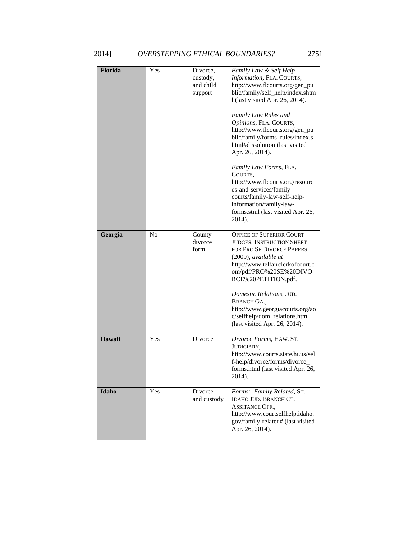| Florida | Yes            | Divorce,<br>custody,<br>and child<br>support | Family Law & Self Help<br>Information, FLA. COURTS,<br>http://www.flcourts.org/gen_pu<br>blic/family/self_help/index.shtm<br>1 (last visited Apr. 26, 2014).<br>Family Law Rules and<br>Opinions, FLA. COURTS,<br>http://www.flcourts.org/gen_pu<br>blic/family/forms_rules/index.s<br>html#dissolution (last visited<br>Apr. 26, 2014).<br>Family Law Forms, FLA.<br>COURTS,<br>http://www.flcourts.org/resourc<br>es-and-services/family-<br>courts/family-law-self-help-<br>information/family-law-<br>forms.stml (last visited Apr. 26,<br>2014). |
|---------|----------------|----------------------------------------------|-------------------------------------------------------------------------------------------------------------------------------------------------------------------------------------------------------------------------------------------------------------------------------------------------------------------------------------------------------------------------------------------------------------------------------------------------------------------------------------------------------------------------------------------------------|
| Georgia | N <sub>o</sub> | County<br>divorce<br>form                    | <b>OFFICE OF SUPERIOR COURT</b><br>JUDGES, INSTRUCTION SHEET<br>FOR PRO SE DIVORCE PAPERS<br>(2009), available at<br>http://www.telfairclerkofcourt.c<br>om/pdf/PRO%20SE%20DIVO<br>RCE%20PETITION.pdf.<br>Domestic Relations, JUD.<br><b>BRANCH GA.,</b><br>http://www.georgiacourts.org/ao<br>c/selfhelp/dom_relations.html<br>(last visited Apr. 26, 2014).                                                                                                                                                                                         |
| Hawaii  | Yes            | Divorce                                      | Divorce Forms, HAW. ST.<br>JUDICIARY,<br>http://www.courts.state.hi.us/sel<br>f-help/divorce/forms/divorce_<br>forms.html (last visited Apr. 26,<br>2014).                                                                                                                                                                                                                                                                                                                                                                                            |
| Idaho   | Yes            | Divorce<br>and custody                       | Forms: Family Related, ST.<br>IDAHO JUD. BRANCH CT.<br><b>ASSITANCE OFF.,</b><br>http://www.courtselfhelp.idaho.<br>gov/family-related# (last visited<br>Apr. 26, 2014).                                                                                                                                                                                                                                                                                                                                                                              |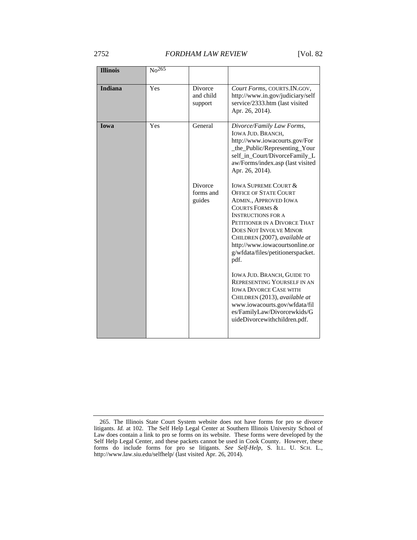## 2752 *FORDHAM LAW REVIEW* [Vol. 82

| <b>Illinois</b> | $\overline{No^{265}}$ |                                       |                                                                                                                                                                                                                                                                                                                                            |
|-----------------|-----------------------|---------------------------------------|--------------------------------------------------------------------------------------------------------------------------------------------------------------------------------------------------------------------------------------------------------------------------------------------------------------------------------------------|
|                 |                       |                                       |                                                                                                                                                                                                                                                                                                                                            |
| <b>Indiana</b>  | Yes                   | Divorce<br>and child<br>support       | Court Forms, COURTS.IN.GOV,<br>http://www.in.gov/judiciary/self<br>service/2333.htm (last visited<br>Apr. 26, 2014).                                                                                                                                                                                                                       |
| <b>Iowa</b>     | Yes                   | General                               | Divorce/Family Law Forms,<br><b>IOWA JUD. BRANCH,</b><br>http://www.iowacourts.gov/For<br>_the_Public/Representing_Your<br>self_in_Court/DivorceFamily_L<br>aw/Forms/index.asp (last visited<br>Apr. 26, 2014).                                                                                                                            |
|                 |                       | <b>Divorce</b><br>forms and<br>guides | <b>IOWA SUPREME COURT &amp;</b><br><b>OFFICE OF STATE COURT</b><br><b>ADMIN., APPROVED IOWA</b><br><b>COURTS FORMS &amp;</b><br><b>INSTRUCTIONS FOR A</b><br>PETITIONER IN A DIVORCE THAT<br><b>DOES NOT INVOLVE MINOR</b><br>CHILDREN (2007), available at<br>http://www.iowacourtsonline.or<br>g/wfdata/files/petitionerspacket.<br>pdf. |
|                 |                       |                                       | <b>IOWA JUD. BRANCH, GUIDE TO</b><br>REPRESENTING YOURSELF IN AN<br><b>IOWA DIVORCE CASE WITH</b><br>CHILDREN (2013), available at<br>www.iowacourts.gov/wfdata/fil<br>es/FamilyLaw/Divorcewkids/G<br>uideDivorcewithchildren.pdf.                                                                                                         |

<sup>265.</sup> The Illinois State Court System website does not have forms for pro se divorce litigants. *Id.* at 102. The Self Help Legal Center at Southern Illinois University School of Law does contain a link to pro se forms on its website. These forms were developed by the Self Help Legal Center, and these packets cannot be used in Cook County. However, these forms do include forms for pro se litigants. *See Self-Help*, S. ILL. U. SCH. L., http://www.law.siu.edu/selfhelp/ (last visited Apr. 26, 2014).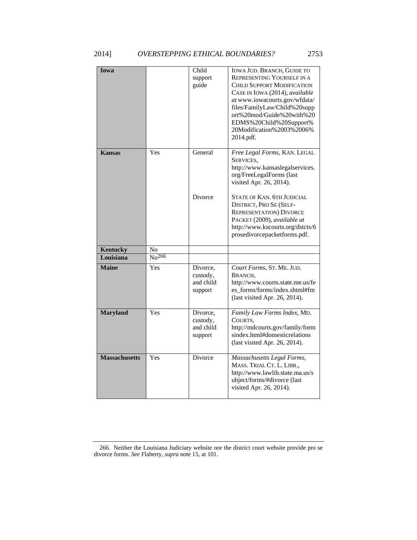| Iowa                 |                   | Child<br>support<br>guide                    | IOWA JUD. BRANCH, GUIDE TO<br>REPRESENTING YOURSELF IN A<br><b>CHILD SUPPORT MODIFICATION</b><br>CASE IN IOWA (2014), available<br>at www.iowacourts.gov/wfdata/<br>files/FamilyLaw/Child%20supp<br>ort%20mod/Guide%20with%20<br>EDMS%20Child%20Support%<br>20Modification%2003%2006%<br>2014.pdf.                                       |
|----------------------|-------------------|----------------------------------------------|------------------------------------------------------------------------------------------------------------------------------------------------------------------------------------------------------------------------------------------------------------------------------------------------------------------------------------------|
| <b>Kansas</b>        | Yes               | General<br>Divorce                           | Free Legal Forms, KAN. LEGAL<br>SERVICES,<br>http://www.kansaslegalservices.<br>org/FreeLegalForms (last<br>visited Apr. 26, 2014).<br>STATE OF KAN. 6TH JUDICIAL<br><b>DISTRICT, PRO SE (SELF-</b><br><b>REPRESENTATION) DIVORCE</b><br>PACKET (2009), available at<br>http://www.kscourts.org/dstcts/6<br>prosedivorcepacketforms.pdf. |
| <b>Kentucky</b>      | No                |                                              |                                                                                                                                                                                                                                                                                                                                          |
| Louisiana            | No <sup>266</sup> |                                              |                                                                                                                                                                                                                                                                                                                                          |
| <b>Maine</b>         | Yes               | Divorce,<br>custody,<br>and child<br>support | Court Forms, ST. ME. JUD.<br>BRANCH,<br>http://www.courts.state.me.us/fe<br>es_forms/forms/index.shtml#fm<br>(last visited Apr. 26, 2014).                                                                                                                                                                                               |
| <b>Maryland</b>      | Yes               | Divorce,<br>custody,<br>and child<br>support | Family Law Forms Index, MD.<br>COURTS,<br>http://mdcourts.gov/family/form<br>sindex.html#domesticrelations<br>(last visited Apr. 26, 2014).                                                                                                                                                                                              |
| <b>Massachusetts</b> | Yes               | Divorce                                      | Massachusetts Legal Forms,<br>MASS. TRIAL CT. L. LIBR.,<br>http://www.lawlib.state.ma.us/s<br>ubject/forms/#divorce (last<br>visited Apr. 26, 2014).                                                                                                                                                                                     |

<sup>266.</sup> Neither the Louisiana Judiciary website nor the district court website provide pro se divorce forms. *See* Flaherty, *supra* note 15, at 101.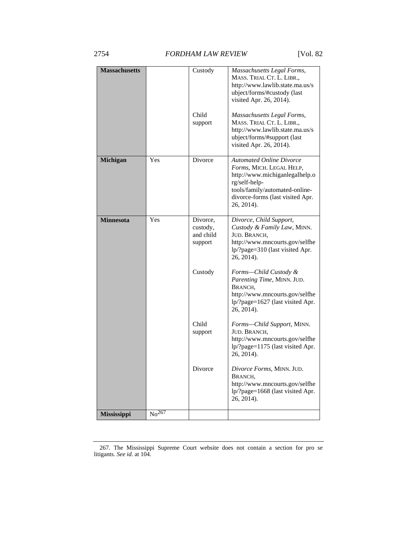| <b>Massachusetts</b> |                   | Custody<br>Child                             | Massachusetts Legal Forms,<br>MASS. TRIAL CT. L. LIBR.,<br>http://www.lawlib.state.ma.us/s<br>ubject/forms/#custody (last<br>visited Apr. 26, 2014).<br>Massachusetts Legal Forms,                 |
|----------------------|-------------------|----------------------------------------------|----------------------------------------------------------------------------------------------------------------------------------------------------------------------------------------------------|
|                      |                   | support                                      | MASS. TRIAL CT. L. LIBR.,<br>http://www.lawlib.state.ma.us/s<br>ubject/forms/#support (last<br>visited Apr. 26, 2014).                                                                             |
| <b>Michigan</b>      | Yes               | Divorce                                      | <b>Automated Online Divorce</b><br>Forms, MICH. LEGAL HELP,<br>http://www.michiganlegalhelp.o<br>rg/self-help-<br>tools/family/automated-online-<br>divorce-forms (last visited Apr.<br>26, 2014). |
| <b>Minnesota</b>     | Yes               | Divorce,<br>custody,<br>and child<br>support | Divorce, Child Support,<br>Custody & Family Law, MINN.<br>JUD. BRANCH,<br>http://www.mncourts.gov/selfhe<br>lp/?page=310 (last visited Apr.<br>26, 2014).                                          |
|                      |                   | Custody                                      | Forms-Child Custody &<br>Parenting Time, MINN. JUD.<br>BRANCH,<br>http://www.mncourts.gov/selfhe<br>lp/?page=1627 (last visited Apr.<br>26, 2014).                                                 |
|                      |                   | Child<br>support                             | Forms-Child Support, MINN.<br>JUD. BRANCH,<br>http://www.mncourts.gov/selfhe<br>lp/?page=1175 (last visited Apr.<br>26, 2014).                                                                     |
|                      |                   | Divorce                                      | Divorce Forms, MINN. JUD.<br>BRANCH,<br>http://www.mncourts.gov/selfhe<br>lp/?page=1668 (last visited Apr.<br>26, 2014).                                                                           |
| <b>Mississippi</b>   | No <sup>267</sup> |                                              |                                                                                                                                                                                                    |

<sup>267.</sup> The Mississippi Supreme Court website does not contain a section for pro se litigants. *See id.* at 104.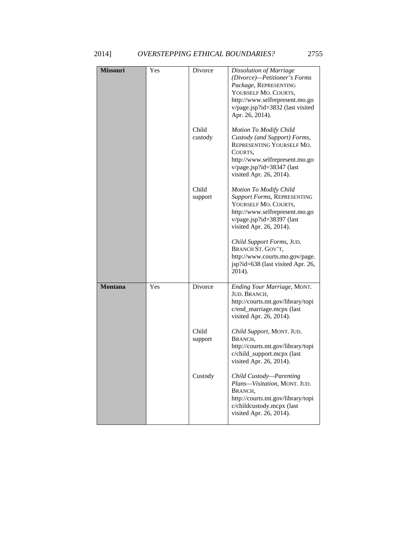| <b>Missouri</b> | Yes | Divorce          | Dissolution of Marriage<br>(Divorce)-Petitioner's Forms<br>Package, REPRESENTING<br>YOURSELF MO. COURTS,<br>http://www.selfrepresent.mo.go<br>v/page.jsp?id=3832 (last visited<br>Apr. 26, 2014). |
|-----------------|-----|------------------|---------------------------------------------------------------------------------------------------------------------------------------------------------------------------------------------------|
|                 |     | Child<br>custody | Motion To Modify Child<br>Custody (and Support) Forms,<br>REPRESENTING YOURSELF MO.<br>COURTS.<br>http://www.selfrepresent.mo.go<br>v/page.jsp?id=38347 (last<br>visited Apr. 26, 2014).          |
|                 |     | Child<br>support | Motion To Modify Child<br>Support Forms, REPRESENTING<br>YOURSELF MO. COURTS,<br>http://www.selfrepresent.mo.go<br>v/page.jsp?id=38397 (last<br>visited Apr. 26, 2014).                           |
|                 |     |                  | Child Support Forms, JUD.<br>BRANCH ST. GOV'T,<br>http://www.courts.mo.gov/page.<br>jsp?id=638 (last visited Apr. 26,<br>2014).                                                                   |
| <b>Montana</b>  | Yes | Divorce          | Ending Your Marriage, MONT.<br>JUD. BRANCH,<br>http://courts.mt.gov/library/topi<br>c/end_marriage.mcpx (last<br>visited Apr. 26, 2014).                                                          |
|                 |     | Child<br>support | Child Support, MONT. JUD.<br>BRANCH,<br>http://courts.mt.gov/library/topi<br>c/child_support.mcpx (last<br>visited Apr. 26, 2014).                                                                |
|                 |     | Custody          | Child Custody-Parenting<br>Plans-Visitation, MONT. JUD.<br>BRANCH,<br>http://courts.mt.gov/library/topi<br>c/childcustody.mcpx (last<br>visited Apr. 26, 2014).                                   |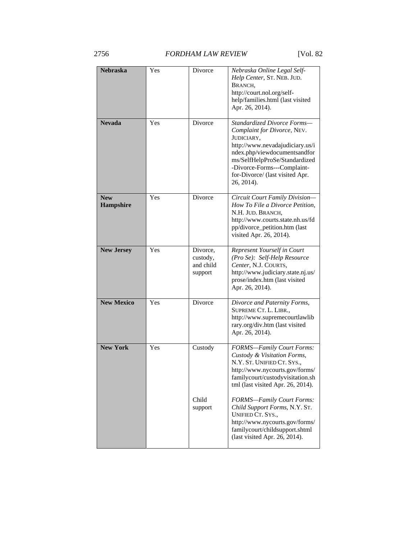| <b>Nebraska</b>         | Yes | Divorce                                      | Nebraska Online Legal Self-<br>Help Center, ST. NEB. JUD.<br>BRANCH,<br>http://court.nol.org/self-<br>help/families.html (last visited<br>Apr. 26, 2014).                                                                                                    |
|-------------------------|-----|----------------------------------------------|--------------------------------------------------------------------------------------------------------------------------------------------------------------------------------------------------------------------------------------------------------------|
| <b>Nevada</b>           | Yes | Divorce                                      | Standardized Divorce Forms-<br>Complaint for Divorce, NEV.<br>JUDICIARY,<br>http://www.nevadajudiciary.us/i<br>ndex.php/viewdocumentsandfor<br>ms/SelfHelpProSe/Standardized<br>-Divorce-Forms---Complaint-<br>for-Divorce/ (last visited Apr.<br>26, 2014). |
| <b>New</b><br>Hampshire | Yes | Divorce                                      | Circuit Court Family Division-<br>How To File a Divorce Petition,<br>N.H. JUD. BRANCH,<br>http://www.courts.state.nh.us/fd<br>pp/divorce_petition.htm (last<br>visited Apr. 26, 2014).                                                                       |
| <b>New Jersey</b>       | Yes | Divorce,<br>custody,<br>and child<br>support | Represent Yourself in Court<br>(Pro Se): Self-Help Resource<br>Center, N.J. COURTS,<br>http://www.judiciary.state.nj.us/<br>prose/index.htm (last visited<br>Apr. 26, 2014).                                                                                 |
| <b>New Mexico</b>       | Yes | Divorce                                      | Divorce and Paternity Forms,<br>SUPREME CT. L. LIBR.,<br>http://www.supremecourtlawlib<br>rary.org/div.htm (last visited<br>Apr. 26, 2014).                                                                                                                  |
| <b>New York</b>         | Yes | Custody                                      | <b>FORMS-Family Court Forms:</b><br>Custody & Visitation Forms,<br>N.Y. ST. UNIFIED CT. SYS.,<br>http://www.nycourts.gov/forms/<br>familycourt/custodyvisitation.sh<br>tml (last visited Apr. 26, 2014).                                                     |
|                         |     | Child<br>support                             | FORMS-Family Court Forms:<br>Child Support Forms, N.Y. ST.<br>UNIFIED CT. SYS.,<br>http://www.nycourts.gov/forms/<br>familycourt/childsupport.shtml<br>(last visited Apr. 26, 2014).                                                                         |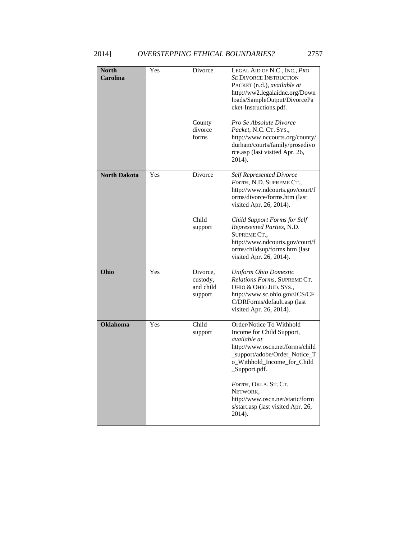| <b>North</b><br><b>Carolina</b> | Yes | Divorce<br>County<br>divorce<br>forms        | LEGAL AID OF N.C., INC., PRO<br><b>SE DIVORCE INSTRUCTION</b><br>PACKET (n.d.), available at<br>http://ww2.legalaidnc.org/Down<br>loads/SampleOutput/DivorcePa<br>cket-Instructions.pdf.<br>Pro Se Absolute Divorce<br>Packet, N.C. CT. SYS.,<br>http://www.nccourts.org/county/<br>durham/courts/family/prosedivo<br>rce.asp (last visited Apr. 26,<br>2014). |
|---------------------------------|-----|----------------------------------------------|----------------------------------------------------------------------------------------------------------------------------------------------------------------------------------------------------------------------------------------------------------------------------------------------------------------------------------------------------------------|
| <b>North Dakota</b>             | Yes | Divorce<br>Child<br>support                  | <b>Self Represented Divorce</b><br>Forms, N.D. SUPREME CT.,<br>http://www.ndcourts.gov/court/f<br>orms/divorce/forms.htm (last<br>visited Apr. 26, 2014).<br>Child Support Forms for Self<br>Represented Parties, N.D.<br>SUPREME CT.,<br>http://www.ndcourts.gov/court/f<br>orms/childsup/forms.htm (last<br>visited Apr. 26, 2014).                          |
| Ohio                            | Yes | Divorce,<br>custody,<br>and child<br>support | <b>Uniform Ohio Domestic</b><br>Relations Forms, SUPREME CT.<br>Оню & Оню JUD. SYS.,<br>http://www.sc.ohio.gov/JCS/CF<br>C/DRForms/default.asp (last<br>visited Apr. 26, 2014).                                                                                                                                                                                |
| <b>Oklahoma</b>                 | Yes | Child<br>support                             | Order/Notice To Withhold<br>Income for Child Support,<br>available at<br>http://www.oscn.net/forms/child<br>_support/adobe/Order_Notice_T<br>o_Withhold_Income_for_Child<br>Support.pdf.<br>Forms, OKLA. ST. CT.<br>NETWORK,<br>http://www.oscn.net/static/form<br>s/start.asp (last visited Apr. 26,<br>2014).                                                |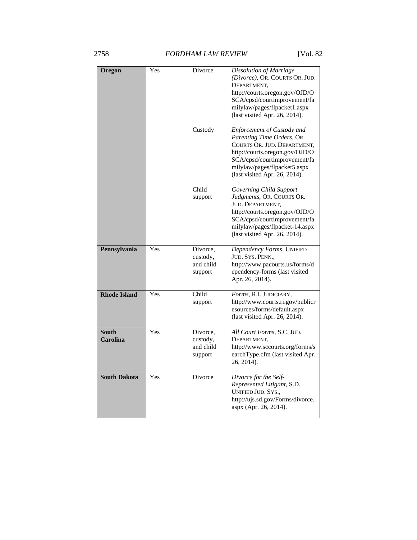# 2758 *FORDHAM LAW REVIEW* [Vol. 82

| Oregon                          | Yes | Divorce<br>Custody                           | Dissolution of Marriage<br>(Divorce), OR. COURTS OR. JUD.<br>DEPARTMENT,<br>http://courts.oregon.gov/OJD/O<br>SCA/cpsd/courtimprovement/fa<br>milylaw/pages/flpacket1.aspx<br>(last visited Apr. 26, 2014).<br><b>Enforcement of Custody and</b> |
|---------------------------------|-----|----------------------------------------------|--------------------------------------------------------------------------------------------------------------------------------------------------------------------------------------------------------------------------------------------------|
|                                 |     |                                              | Parenting Time Orders, OR.<br>COURTS OR. JUD. DEPARTMENT,<br>http://courts.oregon.gov/OJD/O<br>SCA/cpsd/courtimprovement/fa<br>milylaw/pages/flpacket5.aspx<br>(last visited Apr. 26, 2014).                                                     |
|                                 |     | Child<br>support                             | Governing Child Support<br>Judgments, OR. COURTS OR.<br>JUD. DEPARTMENT,<br>http://courts.oregon.gov/OJD/O<br>SCA/cpsd/courtimprovement/fa<br>milylaw/pages/flpacket-14.aspx<br>(last visited Apr. 26, 2014).                                    |
| Pennsylvania                    | Yes | Divorce.<br>custody,<br>and child<br>support | Dependency Forms, UNIFIED<br>JUD. SYS. PENN.,<br>http://www.pacourts.us/forms/d<br>ependency-forms (last visited<br>Apr. 26, 2014).                                                                                                              |
| <b>Rhode Island</b>             | Yes | Child<br>support                             | Forms, R.I. JUDICIARY,<br>http://www.courts.ri.gov/publicr<br>esources/forms/default.aspx<br>(last visited Apr. 26, 2014).                                                                                                                       |
| <b>South</b><br><b>Carolina</b> | Yes | Divorce,<br>custody,<br>and child<br>support | All Court Forms, S.C. JUD.<br>DEPARTMENT,<br>http://www.sccourts.org/forms/s<br>earchType.cfm (last visited Apr.<br>26, 2014).                                                                                                                   |
| <b>South Dakota</b>             | Yes | <b>Divorce</b>                               | Divorce for the Self-<br>Represented Litigant, S.D.<br><b>UNIFIED JUD. SYS.,</b><br>http://ujs.sd.gov/Forms/divorce.<br>aspx (Apr. 26, 2014).                                                                                                    |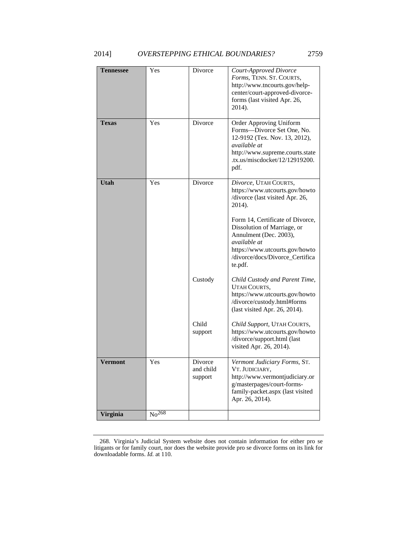| <b>Tennessee</b> | Yes                           | Divorce                         | Court-Approved Divorce<br>Forms, TENN. ST. COURTS,<br>http://www.tncourts.gov/help-<br>center/court-approved-divorce-<br>forms (last visited Apr. 26,<br>2014).                                                                                                                                   |
|------------------|-------------------------------|---------------------------------|---------------------------------------------------------------------------------------------------------------------------------------------------------------------------------------------------------------------------------------------------------------------------------------------------|
| <b>Texas</b>     | Yes                           | Divorce                         | Order Approving Uniform<br>Forms—Divorce Set One, No.<br>12-9192 (Tex. Nov. 13, 2012),<br>available at<br>http://www.supreme.courts.state<br>.tx.us/miscdocket/12/12919200.<br>pdf.                                                                                                               |
| <b>Utah</b>      | Yes                           | Divorce                         | Divorce, UTAH COURTS,<br>https://www.utcourts.gov/howto<br>/divorce (last visited Apr. 26,<br>2014).<br>Form 14, Certificate of Divorce,<br>Dissolution of Marriage, or<br>Annulment (Dec. 2003),<br>available at<br>https://www.utcourts.gov/howto<br>/divorce/docs/Divorce_Certifica<br>te.pdf. |
|                  |                               | Custody                         | Child Custody and Parent Time,<br>UTAH COURTS,<br>https://www.utcourts.gov/howto<br>/divorce/custody.html#forms<br>(last visited Apr. 26, 2014).                                                                                                                                                  |
|                  |                               | Child<br>support                | Child Support, UTAH COURTS,<br>https://www.utcourts.gov/howto<br>/divorce/support.html (last<br>visited Apr. 26, 2014).                                                                                                                                                                           |
| Vermont          | Yes                           | Divorce<br>and child<br>support | Vermont Judiciary Forms, ST.<br>VT. JUDICIARY.<br>http://www.vermontjudiciary.or<br>g/masterpages/court-forms-<br>family-packet.aspx (last visited<br>Apr. 26, 2014).                                                                                                                             |
| <b>Virginia</b>  | N <sub>0</sub> <sup>268</sup> |                                 |                                                                                                                                                                                                                                                                                                   |

<sup>268.</sup> Virginia's Judicial System website does not contain information for either pro se litigants or for family court, nor does the website provide pro se divorce forms on its link for downloadable forms. *Id.* at 110.